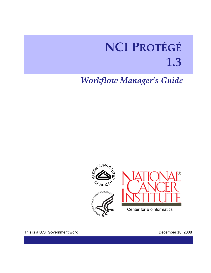# **NCI PROTÉGÉ 1.3**

## *Workflow Manager's Guide*



This is a U.S. Government work. **December 18, 2008**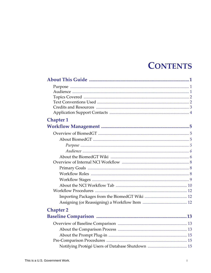## **CONTENTS**

| <b>Chapter 1</b> |
|------------------|
|                  |
|                  |
|                  |
|                  |
|                  |
|                  |
|                  |
|                  |
|                  |
|                  |
|                  |
|                  |
|                  |
|                  |
| <b>Chapter 2</b> |
|                  |
|                  |
|                  |
|                  |
|                  |
|                  |
|                  |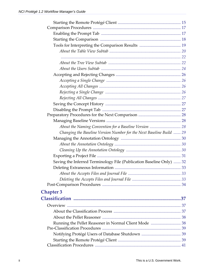| Changing the Baseline Version Number for the Next Baseline Build  29 |  |
|----------------------------------------------------------------------|--|
|                                                                      |  |
|                                                                      |  |
|                                                                      |  |
|                                                                      |  |
| Saving the Inferred Terminology File (Publication Baseline Only)  32 |  |
|                                                                      |  |
|                                                                      |  |
|                                                                      |  |
|                                                                      |  |
| <b>Chapter 3</b>                                                     |  |
|                                                                      |  |
|                                                                      |  |
|                                                                      |  |
|                                                                      |  |
| Running the Pellet Reasoner in Normal Client Mode  38                |  |
|                                                                      |  |
|                                                                      |  |
|                                                                      |  |
|                                                                      |  |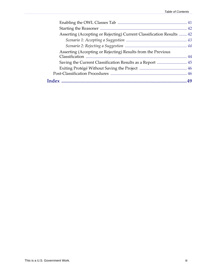| Asserting (Accepting or Rejecting) Current Classification Results  42 |  |
|-----------------------------------------------------------------------|--|
|                                                                       |  |
|                                                                       |  |
| Asserting (Accepting or Rejecting) Results from the Previous          |  |
|                                                                       |  |
|                                                                       |  |
|                                                                       |  |
|                                                                       |  |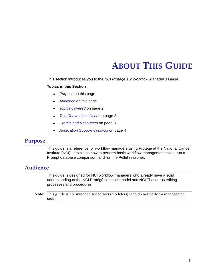## **ABOUT THIS GUIDE**

<span id="page-6-0"></span>This section introduces you to the *NCI Protégé 1.2 Workflow Manager's Guide*.

#### **Topics in this Section**

- *[Purpose](#page-6-1)* on this page
- [Audience](#page-6-2) on this page
- <sup>z</sup> *[Topics Covered](#page-7-0)* on page 2
- <sup>z</sup> *[Text Conventions Used](#page-7-1)* on page 2
- <sup>z</sup> *[Credits and Resources](#page-8-0)* on page 3
- <sup>z</sup> *[Application Support Contacts](#page-9-0)* on page 4

### <span id="page-6-1"></span>**Purpose**

This guide is a reference for workflow managers using Protégé at the National Cancer Institute (NCI). It explains how to perform basic workflow management tasks, run a Prompt database comparison, and run the Pellet reasoner.

## <span id="page-6-2"></span>**Audience**

This guide is designed for NCI workflow managers who already have a solid understanding of the NCI Protégé semantic model and NCI Thesaurus editing processes and procedures.

**Note:** This guide is not intended for editors (modelers) who do not perform management tasks.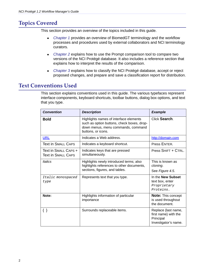## <span id="page-7-0"></span>**Topics Covered**

This section provides an overview of the topics included in this guide.

- [Chapter 1](#page-10-5) provides an overview of BiomedGT terminology and the workflow processes and procedures used by external collaborators and NCI terminology curators.
- [Chapter 2](#page-18-4) explains how to use the Prompt comparison tool to compare two versions of the NCI Protégé database. It also includes a reference section that explains how to interpret the results of the comparison.
- [Chapter 3](#page-42-4) explains how to classify the NCI Protégé database, accept or reject proposed changes, and prepare and save a classification report for distribution.

## <span id="page-7-1"></span>**Text Conventions Used**

This section explains conventions used in this guide. The various typefaces represent interface components, keyboard shortcuts, toolbar buttons, dialog box options, and text that you type.

| <b>Convention</b>                                 | <b>Description</b>                                                                                                                               | <b>Example</b>                                                                   |  |
|---------------------------------------------------|--------------------------------------------------------------------------------------------------------------------------------------------------|----------------------------------------------------------------------------------|--|
| <b>Bold</b>                                       | Highlights names of interface elements<br>such as option buttons, check boxes, drop-<br>down menus, menu commands, command<br>buttons, or icons. | Click Search.                                                                    |  |
| <b>URL</b>                                        | Indicates a Web address.                                                                                                                         | http://domain.com                                                                |  |
| <b>Text in SMALL CAPS</b>                         | Indicates a keyboard shortcut.                                                                                                                   | Press ENTER.                                                                     |  |
| Text in SMALL CAPS +<br><b>Text in SMALL CAPS</b> | Indicates keys that are pressed<br>simultaneously.                                                                                               | Press SHIFT + CTRL.                                                              |  |
| <b>Italics</b>                                    | Highlights newly introduced terms; also<br>highlights references to other documents,<br>sections, figures, and tables.                           | This is known as<br>cloning.<br>See Figure 4.5.                                  |  |
| Italic monospaced<br>type                         | Represents text that you type.                                                                                                                   | In the New Subset<br>text box, enter<br>Proprietary<br>Proteins.                 |  |
| Note:                                             | Highlights information of particular<br>importance                                                                                               | <b>Note: This concept</b><br>is used throughout<br>the document.                 |  |
| $\{\quad\}$                                       | Surrounds replaceable items.                                                                                                                     | Replace {last name,<br>first name} with the<br>Principal<br>Investigator's name. |  |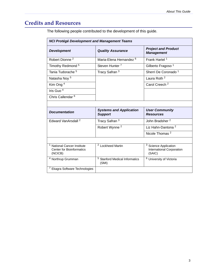## <span id="page-8-0"></span>**Credits and Resources**

The following people contributed to the development of this guide.

| <b>NCI Protégé Development and Management Teams</b>                             |                                                    |                                                                         |  |  |  |
|---------------------------------------------------------------------------------|----------------------------------------------------|-------------------------------------------------------------------------|--|--|--|
| <b>Development</b>                                                              | <b>Quality Assurance</b>                           | <b>Project and Product</b><br><b>Management</b>                         |  |  |  |
| Robert Dionne <sup>2</sup>                                                      | Maria-Elena Hernandez <sup>6</sup>                 | Frank Hartel <sup>1</sup>                                               |  |  |  |
| Timothy Redmond <sup>5</sup>                                                    | Steven Hunter <sup>7</sup>                         | Gilberto Fragoso <sup>1</sup>                                           |  |  |  |
| Tania Tudorache <sup>5</sup>                                                    | Tracy Safran <sup>3</sup>                          | Sherri De Coronado <sup>1</sup>                                         |  |  |  |
| Natasha Noy 5                                                                   |                                                    | Laura Roth <sup>2</sup>                                                 |  |  |  |
| Kim Ong $4$                                                                     |                                                    | Carol Creech <sup>2</sup>                                               |  |  |  |
| Iris Guo <sup>4</sup>                                                           |                                                    |                                                                         |  |  |  |
| Chris Callendar <sup>6</sup>                                                    |                                                    |                                                                         |  |  |  |
|                                                                                 |                                                    |                                                                         |  |  |  |
| <b>Documentation</b>                                                            | <b>Systems and Application</b><br><b>Support</b>   | <b>User Community</b><br><b>Resources</b>                               |  |  |  |
| Edward VanArsdall <sup>2</sup>                                                  | Tracy Safran <sup>3</sup>                          | John Bradsher <sup>2</sup>                                              |  |  |  |
|                                                                                 | Robert Wynne <sup>2</sup>                          | Liz Hahn-Dantona <sup>2</sup>                                           |  |  |  |
|                                                                                 |                                                    | Nicole Thomas <sup>2</sup>                                              |  |  |  |
|                                                                                 |                                                    |                                                                         |  |  |  |
| <b>National Cancer Institute</b><br><b>Center for Bioinformatics</b><br>(NCICB) | <sup>2</sup> Lockheed Martin                       | <sup>3</sup> Science Application<br>International Corporation<br>(SAIC) |  |  |  |
| <sup>4</sup> Northrup Grumman                                                   | <sup>5</sup> Stanford Medical Informatics<br>(SMI) | <sup>6</sup> University of Victoria                                     |  |  |  |
| <sup>7</sup> Ekagra Software Technologies                                       |                                                    |                                                                         |  |  |  |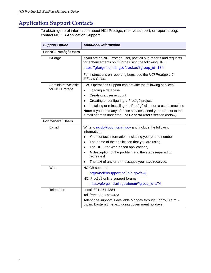## <span id="page-9-0"></span>**Application Support Contacts**

<span id="page-9-1"></span>To obtain general information about NCI Protégé, receive support, or report a bug, contact NCICB Application Support.

| <b>Support Option</b>                   | <b>Additional Information</b>                                                                                                                                                                                                                                                                                                                                                               |
|-----------------------------------------|---------------------------------------------------------------------------------------------------------------------------------------------------------------------------------------------------------------------------------------------------------------------------------------------------------------------------------------------------------------------------------------------|
| For NCI Protégé Users                   |                                                                                                                                                                                                                                                                                                                                                                                             |
| GForge                                  | If you are an NCI Protégé user, post all bug reports and requests<br>for enhancements on GForge using the following URL:<br>https://gforge.nci.nih.gov/tracker/?group_id=174                                                                                                                                                                                                                |
|                                         | For instructions on reporting bugs, see the NCI Protégé 1.2<br>Editor's Guide.                                                                                                                                                                                                                                                                                                              |
| Administrative tasks<br>for NCI Protégé | EVS Operations Support can provide the following services:<br>Loading a database<br>Creating a user account<br>$\bullet$<br>Creating or configuring a Protégé project<br>$\bullet$<br>Installing or reinstalling the Protégé client on a user's machine<br>Note: If you need any of these services, send your request to the<br>e-mail address under the For General Users section (below). |
| <b>For General Users</b>                |                                                                                                                                                                                                                                                                                                                                                                                             |
| E-mail                                  | Write to ncicb@pop.nci.nih.gov and include the following<br>information:<br>Your contact information, including your phone number<br>The name of the application that you are using<br>The URL (for Web-based applications)<br>A description of the problem and the steps required to<br>recreate it<br>The text of any error messages you have received.                                   |
| Web                                     | <b>NCICB</b> support:<br>http://ncicbsupport.nci.nih.gov/sw/<br>NCI Protégé online support forums:<br>https://gforge.nci.nih.gov/forum/?group_id=174                                                                                                                                                                                                                                        |
| Telephone                               | Local: 301-451-4384<br>Toll-free: 888-478-4423<br>Telephone support is available Monday through Friday, 8 a.m. -<br>8 p.m. Eastern time, excluding government holidays.                                                                                                                                                                                                                     |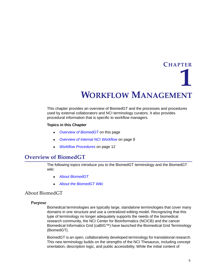<span id="page-10-5"></span>**CHAPTER 1**

## **WORKFLOW MANAGEMENT**

<span id="page-10-1"></span><span id="page-10-0"></span>This chapter provides an overview of BiomedGT and the processes and procedures used by external collaborators and NCI terminology curators. It also provides procedural information that is specific to workflow managers.

#### **Topics in this Chapter**

- [Overview of BiomedGT](#page-10-2) on this page
- <sup>z</sup> *[Overview of Internal NCI Workflow](#page-13-0)* on page 8
- <span id="page-10-6"></span><sup>z</sup> *[Workflow Procedures](#page-17-0)* on page 12

### <span id="page-10-2"></span>**Overview of BiomedGT**

The following topics introduce you to the BiomedGT terminology and the BiomedGT wiki:

- <sup>z</sup> *[About BiomedGT](#page-10-3)*
- <sup>z</sup> *[About the BiomedGT Wiki](#page-11-1)*

#### <span id="page-10-3"></span>About BiomedGT

#### <span id="page-10-4"></span>**Purpose**

Biomedical terminologies are typically large, standalone terminologies that cover many domains in one structure and use a centralized editing model. Recognizing that this type of terminology no longer adequately supports the needs of the biomedical research community, the NCI Center for Bioinformatics (NCICB) and the cancer Biomedical Informatics Grid (caBIG™) have launched the Biomedical Grid Terminology (BiomedGT).

BiomedGT is an open, collaboratively developed terminology for translational research. This new terminology builds on the strengths of the NCI Thesaurus, including concept orientation, description logic, and public accessibility. While the initial content of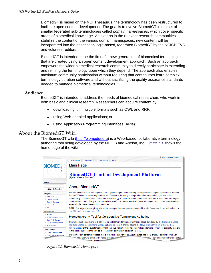BiomedGT is based on the NCI Thesaurus, the terminology has been restructured to facilitate open content development. The goal is to evolve BiomedGT into a set of smaller federated sub-terminologies called *domain namespaces*, which cover specific areas of biomedical knowledge. As experts in the relevant research communities stabilize the content of the various domain namespaces, new content will be incorporated into the description logic-based, federated BiomedGT by the NCICB EVS and volunteer editors.

BiomedGT is intended to be the first of a new generation of biomedical terminologies that are created using an open content development approach. Such an approach empowers the wider biomedical research community to directly participate in extending and refining the terminology upon which they depend. The approach also enables maximum community participation without requiring that contributors learn complex terminology curation software and without sacrificing the quality assurance standards needed to manage biomedical terminologies.

#### <span id="page-11-0"></span>**Audience**

BiomedGT is intended to address the needs of biomedical researchers who work in both basic and clinical research. Researchers can acquire content by

- downloading it in multiple formats such as OWL and RRF;
- using Web-enabled applications; or
- using Application Programming Interfaces (APIs).

#### <span id="page-11-1"></span>About the BiomedGT Wiki

The BiomedGT wiki [\(http://biomedgt.org\)](http://biomedgt.org) is a Web-based, collaborative terminology authoring tool being developed by the NCICB and Apelon, Inc. *[Figure 1.1](#page-11-2)* shows the home page of the wiki.

<span id="page-11-2"></span>

*Figure 1.1 BiomedGT Home page*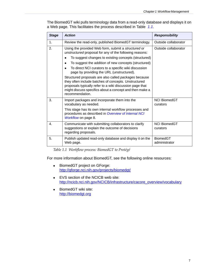The BiomedGT wiki pulls terminology data from a read-only database and displays it on a Web page. This facilitates the process described in Table *1.1*.

<span id="page-12-1"></span>

| <b>Stage</b> | <b>Action</b>                                                                                                                                                                                                                                           | <b>Responsibility</b>            |
|--------------|---------------------------------------------------------------------------------------------------------------------------------------------------------------------------------------------------------------------------------------------------------|----------------------------------|
| 1.           | Review the read-only, published BiomedGT terminology.                                                                                                                                                                                                   | Outside collaborator             |
| 2.           | Using the provided Web form, submit a structured or<br>unstructured proposal for any of the following reasons:                                                                                                                                          | Outside collaborator             |
|              | To suggest changes to existing concepts (structured)                                                                                                                                                                                                    |                                  |
|              | To suggest the addition of new concepts (structured)<br>$\bullet$                                                                                                                                                                                       |                                  |
|              | To direct NCI curators to a specific wiki discussion<br>page by providing the URL (unstructured).                                                                                                                                                       |                                  |
|              | Structured proposals are also called packages because<br>they often include batches of concepts. Unstructured<br>proposals typically refer to a wiki discussion page that<br>might discuss specifics about a concept and then make a<br>recommendation. |                                  |
| 3.           | Import packages and incorporate them into the<br>vocabulary as needed.                                                                                                                                                                                  | <b>NCI BiomedGT</b><br>curators  |
|              | This stage has its own internal workflow processes and<br>procedures as described in Overview of Internal NCI<br>Workflow on page 8.                                                                                                                    |                                  |
| 4.           | Communicate with submitting collaborators to clarify<br>suggestions or explain the outcome of decisions<br>regarding proposals.                                                                                                                         | <b>NCI BiomedGT</b><br>curators  |
| 5.           | Publish updated read-only database and display it on the<br>Web page.                                                                                                                                                                                   | <b>BiomedGT</b><br>administrator |

<span id="page-12-0"></span>*Table 1.1 Workflow process: BiomedGT to Protégé*

For more information about BiomedGT, see the following online resources:

- BiomedGT project on GForge: <http://gforge.nci.nih.gov/projects/biomedgt/>
- EVS section of the NCICB web site: [http://ncicb.nci.nih.gov/NCICB/infrastructure/cacore\\_overview/vocabulary](http://ncicb.nci.nih.gov/NCICB/infrastructure/cacore_overview/vocabulary)
- BiomedGT wiki site: [http://biomedgt.org](http://biomedgt.org/index.php/Main_Page)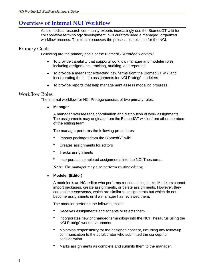## <span id="page-13-0"></span>**Overview of Internal NCI Workflow**

<span id="page-13-3"></span>As biomedical research community experts increasingly use the BiomedGT wiki for collaborative terminology development, NCI curators need a managed, organized workflow process. This topic discusses the process established for the NCI.

#### <span id="page-13-1"></span>Primary Goals

Following are the primary goals of the BiomedGT/Protégé workflow:

- To provide capability that supports workflow manager and modeler roles, including assignments, tracking, auditing, and reporting
- To provide a means for extracting new terms from the BiomedGT wiki and incorporating them into assignments for NCI Protégé modelers
- To provide reports that help management assess modeling progress.

#### <span id="page-13-2"></span>Workflow Roles

The internal workflow for NCI Protégé consists of two primary roles:

#### **Manager**

A manager oversees the coordination and distribution of work assignments. The assignments may originate from the BiomedGT wiki or from other members of the editing team.

The manager performs the following procedures:

- <sup>o</sup> Imports packages from the BiomedGT wiki
- <sup>o</sup> Creates assignments for editors
- <sup>o</sup> Tracks assignments
- <sup>o</sup> Incorporates completed assignments into the NCI Thesaurus.

**Note:** The manager may also perform routine editing.

#### <sup>z</sup> **Modeler (Editor)**

A modeler is an NCI editor who performs routine editing tasks. Modelers cannot import packages, create assignments, or delete assignments. However, they can make *suggestions*, which are similar to assignments but which do not become assignments until a manager has reviewed them.

The modeler performs the following tasks:

- <sup>o</sup> Receives assignments and accepts or rejects them
- <sup>o</sup> Incorporates new or changed terminology into the NCI Thesaurus using the NCI Protégé work environment
- <sup>o</sup> Maintains responsibility for the assigned concept, including any follow-up communication to the collaborator who submitted the concept for consideration
- <sup>o</sup> Marks assignments as complete and submits them to the manager.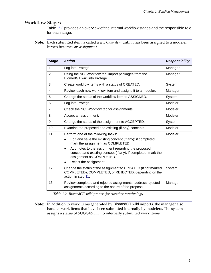#### <span id="page-14-0"></span>Workflow Stages

Table *1.2* provides an overview of the internal workflow stages and the responsible role for each stage.

**Note:** Each submitted item is called a *workflow item* until it has been assigned to a modeler. It then becomes an *assignment*.

| <b>Stage</b>   | <b>Action</b>                                                                                                                                                | <b>Responsibility</b> |  |  |  |  |
|----------------|--------------------------------------------------------------------------------------------------------------------------------------------------------------|-----------------------|--|--|--|--|
| 1.             | Log into Protégé.                                                                                                                                            | Manager               |  |  |  |  |
| 2.             | Using the NCI Workflow tab, import packages from the<br>BiomedGT wiki into Protégé.                                                                          | Manager               |  |  |  |  |
| 3.             | Create workflow items with a status of CREATED.                                                                                                              | System                |  |  |  |  |
| 4.             | Review each new workflow item and assigns it to a modeler.                                                                                                   | Manager               |  |  |  |  |
| 5.             | Change the status of the workflow item to ASSIGNED.                                                                                                          | System                |  |  |  |  |
| 6.             | Log into Protégé.                                                                                                                                            | Modeler               |  |  |  |  |
| 7 <sub>1</sub> | Check the NCI Workflow tab for assignments.                                                                                                                  | Modeler               |  |  |  |  |
| 8.             | Modeler<br>Accept an assignment.                                                                                                                             |                       |  |  |  |  |
| 9.             | Change the status of the assignment to ACCEPTED.<br>System                                                                                                   |                       |  |  |  |  |
| 10.            | Modeler<br>Examine the proposed and existing (if any) concepts.                                                                                              |                       |  |  |  |  |
| 11.            | Perform one of the following tasks:                                                                                                                          | Modeler               |  |  |  |  |
|                | Edit and save the existing concept (if any); if completed,<br>mark the assignment as COMPLETED.                                                              |                       |  |  |  |  |
|                | Add notes to the assignment regarding the proposed<br>$\bullet$<br>concept and existing concept (if any); if completed, mark the<br>assignment as COMPLETED. |                       |  |  |  |  |
|                | Reject the assignment.                                                                                                                                       |                       |  |  |  |  |
| 12.            | Change the status of the assignment to UPDATED (if not marked<br>COMPLETED), COMPLETED, or REJECTED, depending on the<br>action in step 11.                  | System                |  |  |  |  |
| 13.            | Review completed and rejected assignments; address rejected<br>assignments according to the nature of the proposal.                                          | Manager               |  |  |  |  |

*Table 1.2 BiomedGT wiki process for curating terminology*

**Note:** In addition to work items generated by BiomedGT wiki imports, the manager also handles work items that have been submitted internally by modelers. The system assigns a status of SUGGESTED to internally submitted work items.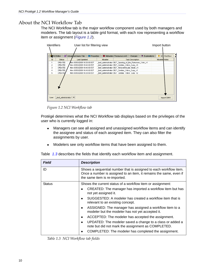#### <span id="page-15-0"></span>About the NCI Workflow Tab

<span id="page-15-3"></span>The NCI Workflow tab is the major workflow component used by both managers and modelers. The tab layout is a table grid format, with each row representing a workflow item or assignment (*[Figure 1.2](#page-15-1)*).

| User list for filtering view<br><b>Identifiers</b><br>Import button |       |                        |  |                               |                   |                                                          |                          |                         |              |               |             |
|---------------------------------------------------------------------|-------|------------------------|--|-------------------------------|-------------------|----------------------------------------------------------|--------------------------|-------------------------|--------------|---------------|-------------|
|                                                                     |       |                        |  |                               |                   |                                                          |                          |                         |              |               |             |
|                                                                     |       | NCI Editor             |  | <b>BET</b> Advanced Query Tab | <b>Properties</b> |                                                          | Metadata (Thesaurus.owl) | Changes                 | Explanations |               | NC Workflow |
|                                                                     | ID.   | Status                 |  | Last Updated                  |                   | Modeler                                                  |                          | <b>Task Description</b> |              | Modeler Notes |             |
|                                                                     |       | CREATED                |  | Mon 03/03/2008 16:33:00 EST   |                   | _test_administrator BGT_Opening_of_the_Pulmonary_Vein_v1 |                          |                         |              |               |             |
|                                                                     | 2     | CREATED                |  | Mon 03/03/2008 16:43:00 EST   |                   | test administrator BGT_Cardiac_Valve_Cusp_v3             |                          |                         |              |               |             |
|                                                                     | з     | CREATED                |  | Mon 03/03/2008 16:43:00 EST   |                   | test administrator BGT Atrioventricular Node v1          |                          |                         |              |               |             |
|                                                                     | 4     | CREATED                |  | Mon 03/03/2008 16:43:00 EST   |                   | test_administrator_BGT_Cardiac_Valve_Cusp_v1             |                          |                         |              |               |             |
|                                                                     | 5.    | <b>CREATED</b>         |  | Mon 03/03/2008 16:33:00 EST   |                   | test administrator BGT Cardiac Valve Cusp v2             |                          |                         |              |               |             |
|                                                                     |       |                        |  |                               |                   |                                                          |                          |                         |              |               |             |
|                                                                     | User: | test administrator * ▼ |  |                               |                   |                                                          |                          |                         |              |               | Import SMVV |

<span id="page-15-1"></span>*Figure 1.2 NCI Workflow tab*

Protégé determines what the NCI Workflow tab displays based on the privileges of the user who is currently logged in:

- Managers can see all assigned and unassigned workflow items and can identify the assignee and status of each assigned item. They can also filter the assignments by user.
- Modelers see only workflow items that have been assigned to them.

| <b>Field</b>  | <b>Description</b>                                                                                                                                                       |  |  |
|---------------|--------------------------------------------------------------------------------------------------------------------------------------------------------------------------|--|--|
| ID            | Shows a sequential number that is assigned to each workflow item.<br>Once a number is assigned to an item, it remains the same, even if<br>the same item is re-imported. |  |  |
| <b>Status</b> | Shows the current status of a workflow item or assignment:                                                                                                               |  |  |
|               | CREATED: The manager has imported a workflow item but has<br>not yet assigned it.                                                                                        |  |  |
|               | SUGGESTED: A modeler has created a workflow item that is<br>relevant to an existing concept.                                                                             |  |  |
|               | ASSIGNED: The manager has assigned a workflow item to a<br>$\bullet$<br>modeler but the modeler has not yet accepted it.                                                 |  |  |
|               | ACCEPTED: The modeler has accepted the assignment.                                                                                                                       |  |  |
|               | UPDATED: The modeler saved a change to a class or added a<br>note but did not mark the assignment as COMPLETED.                                                          |  |  |
|               | COMPLETED: The modeler has completed the assignment.                                                                                                                     |  |  |

[Table](#page-15-2) *1.3* describes the fields that identify each workflow item and assignment.

<span id="page-15-2"></span>*Table 1.3 NCI Workflow tab fields*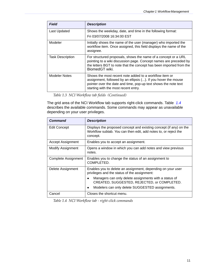| <b>Field</b>            | <b>Description</b>                                                                                                                                                                                                                  |
|-------------------------|-------------------------------------------------------------------------------------------------------------------------------------------------------------------------------------------------------------------------------------|
| Last Updated            | Shows the weekday, date, and time in the following format:                                                                                                                                                                          |
|                         | Fri 03/07/2008 16:34:00 EST                                                                                                                                                                                                         |
| Modeler                 | Initially shows the name of the user (manager) who imported the<br>workflow item. Once assigned, this field displays the name of the<br>assignee.                                                                                   |
| <b>Task Description</b> | For structured proposals, shows the name of a concept or a URL<br>pointing to a wiki discussion page. Concept names are preceded by<br>the letters BGT to note that the concept has been imported from the<br>BiomedGT wiki.        |
| <b>Modeler Notes</b>    | Shows the most recent note added to a workflow item or<br>assignment, followed by an ellipsis (). If you hover the mouse<br>pointer over the date and time, pop-up text shows the note text<br>starting with the most recent entry. |

*Table 1.3 NCI Workflow tab fields (Continued)*

The grid area of the NCI Workflow tab supports right-click commands. [Table](#page-16-0) *1.4* describes the available commands. Some commands may appear as unavailable depending on your user privileges.

| <b>Command</b>           | <b>Description</b>                                                                                                                                |
|--------------------------|---------------------------------------------------------------------------------------------------------------------------------------------------|
| Edit Concept             | Displays the proposed concept and existing concept (if any) on the<br>Workflow subtab. You can then edit, add notes to, or reject the<br>concept. |
| Accept Assignment        | Enables you to accept an assignment.                                                                                                              |
| <b>Modify Assignment</b> | Opens a window in which you can add notes and view previous<br>notes.                                                                             |
| Complete Assignment      | Enables you to change the status of an assignment to<br>COMPLETED.                                                                                |
| Delete Assignment        | Enables you to delete an assignment, depending on your user<br>privileges and the status of the assignment:                                       |
|                          | Managers can only delete assignments with a status of<br>CREATED, SUGGESTED, REJECTED, or COMPLETED.                                              |
|                          | Modelers can only delete SUGGESTED assignments.                                                                                                   |
| Cancel                   | Closes the shortcut menu.                                                                                                                         |

<span id="page-16-1"></span><span id="page-16-0"></span>*Table 1.4 NCI Workflow tab ‐ right‐click commands*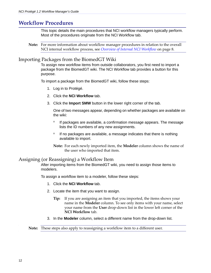## <span id="page-17-0"></span>**Workflow Procedures**

<span id="page-17-4"></span>This topic details the main procedures that NCI workflow managers typically perform. Most of the procedures originate from the NCI Workflow tab.

**Note:** For more information about workflow manager procedures in relation to the overall NCI internal workflow process, see *Overview of Internal NCI [Workflow](#page-13-0)* on page 8.

#### <span id="page-17-1"></span>Importing Packages from the BiomedGT Wiki

To assign new workflow items from outside collaborators, you first need to import a package from the BiomedGT wiki. The NCI Workflow tab provides a button for this purpose.

To import a package from the BiomedGT wiki, follow these steps:

- 1. Log in to Protégé.
- 2. Click the **NCI Workflow** tab.
- 3. Click the **Import SMW** button in the lower right corner of the tab.

One of two messages appear, depending on whether packages are available on the wiki:

- $\degree$  If packages are available, a confirmation message appears. The message lists the ID numbers of any new assignments.
- <sup>o</sup> If no packages are available, a message indicates that there is nothing available to import.

<span id="page-17-3"></span>**Note:** For each newly imported item, the **Modeler** column shows the name of the user who imported that item.

#### <span id="page-17-2"></span>Assigning (or Reassigning) a Workflow Item

After importing items from the BiomedGT wiki, you need to assign those items to modelers.

To assign a workflow item to a modeler, follow these steps:

- 1. Click the **NCI Workflow** tab.
- 2. Locate the item that you want to assign.
	- **Tip:** If you are assigning an item that you imported, the items shows your name in the **Modeler** column. To see only items with your name, select your name from the **User** drop‐down list in the lower left corner of the **NCI Workflow** tab.
- 3. In the **Modeler** column, select a different name from the drop-down list.

#### **Note:** These steps also apply to reassigning a workflow item to a different user.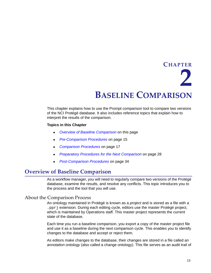# <span id="page-18-4"></span>**CHAPTER 2**

## **BASELINE COMPARISON**

<span id="page-18-1"></span><span id="page-18-0"></span>This chapter explains how to use the Prompt comparison tool to compare two versions of the NCI Protégé database. It also includes reference topics that explain how to interpret the results of the comparison.

#### **Topics in this Chapter**

- **[Overview of Baseline Comparison](#page-18-2)** on this page
- <sup>z</sup> *[Pre-Comparison Procedures](#page-20-1)* on page 15
- **[Comparison Procedures](#page-22-0) on page 17**
- **[Preparatory Procedures for the Next Comparison](#page-33-0) on page 28**
- *Post-Comparison Procedures* on page 34

### <span id="page-18-2"></span>**Overview of Baseline Comparison**

As a workflow manager, you will need to regularly compare two versions of the Protégé database, examine the results, and resolve any conflicts. This topic introduces you to the process and the tool that you will use.

#### <span id="page-18-3"></span>About the Comparison Process

<span id="page-18-5"></span>An ontology maintained in Protégé is known as a *project* and is stored as a file with a .pprj extension. During each editing cycle, editors use the master Protégé project, which is maintained by Operations staff. This master project represents the current state of the database.

Each time you run a baseline comparison, you export a copy of the master project file and use it as a baseline during the next comparison cycle. This enables you to identify changes to the database and accept or reject them.

As editors make changes to the database, their changes are stored in a file called an *annotation ontology* (also called a change ontology). This file serves as an audit trail of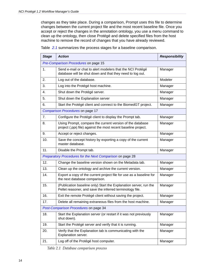changes as they take place. During a comparison, Prompt uses this file to determine changes between the current project file and the most recent baseline file. Once you accept or reject the changes in the annotation ontology, you use a menu command to clean up the ontology, then close Protégé and delete specified files from the host machine to remove the record of changes that you have already reviewed.

| <b>Stage</b>                          | <b>Action</b>                                                                                                                 | <b>Responsibility</b> |  |  |  |
|---------------------------------------|-------------------------------------------------------------------------------------------------------------------------------|-----------------------|--|--|--|
|                                       | Pre-Comparison Procedures on page 15                                                                                          |                       |  |  |  |
| 1.                                    | Send e-mail or chat to alert modelers that the NCI Protégé<br>database will be shut down and that they need to log out.       | Manager               |  |  |  |
| 2.                                    | Log out of the database.                                                                                                      | Modeler               |  |  |  |
| 3.                                    | Log into the Protégé host machine.                                                                                            | Manager               |  |  |  |
| 4.                                    | Shut down the Protégé server.                                                                                                 | Manager               |  |  |  |
| 5.                                    | Shut down the Explanation server                                                                                              | Manager               |  |  |  |
| 6.                                    | Start the Protégé client and connect to the BiomedGT project.                                                                 | Manager               |  |  |  |
|                                       | Comparison Procedures on page 17                                                                                              |                       |  |  |  |
| 7.                                    | Configure the Protégé client to display the Prompt tab.                                                                       | Manager               |  |  |  |
| 8.                                    | Using Prompt, compare the current version of the database<br>project (.pprj file) against the most recent baseline project.   | Manager               |  |  |  |
| 9.                                    | Accept or reject changes.                                                                                                     | Manager               |  |  |  |
| 10.                                   | Save the concept history by exporting a copy of the current<br>master database.                                               | Manager               |  |  |  |
| 11.                                   | Disable the Prompt tab.                                                                                                       | Manager               |  |  |  |
|                                       | Preparatory Procedures for the Next Comparison on page 28                                                                     |                       |  |  |  |
| 12.                                   | Change the baseline version shown on the Metadata tab.                                                                        | Manager               |  |  |  |
| 13.                                   | Clean up the ontology and archive the current version.                                                                        | Manager               |  |  |  |
| 14.                                   | Export a copy of the current project file for use as a baseline for<br>the next database comparison.                          | Manager               |  |  |  |
| 15.                                   | (Publication baseline only) Start the Explanation server, run the<br>Pellet reasoner, and save the inferred terminology file. | Manager               |  |  |  |
| 16.                                   | Exit the remote Protégé client without saving the project.                                                                    | Manager               |  |  |  |
| 17.                                   | Delete all remaining extraneous files from the host machine.                                                                  | Manager               |  |  |  |
| Post-Comparison Procedures on page 34 |                                                                                                                               |                       |  |  |  |
| 18.                                   | Start the Explanation server (or restart if it was not previously<br>shut down).                                              | Manager               |  |  |  |
| 19.                                   | Start the Protégé server and verify that it is running.                                                                       | Manager               |  |  |  |
| 20.                                   | Verify that the Explanation tab is communicating with the<br>Explanation server.                                              | Manager               |  |  |  |
| 21.                                   | Log off of the Protégé host computer.                                                                                         | Manager               |  |  |  |

Table *2.1* summarizes the process stages for a baseline comparison.

*Table 2.1 Database comparison process*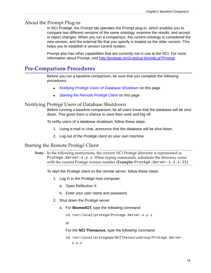#### <span id="page-20-0"></span>About the Prompt Plug‐in

<span id="page-20-6"></span>In NCI Protégé, the Prompt tab operates the Prompt plug-in, which enables you to compare two different versions of the same ontology, examine the results, and accept or reject changes. When you run a comparison, the current ontology is considered the new version, and the external file that you specify is treated as the older version. This helps you to establish a version control system.

Prompt also has other capabilities that are currently not in use at the NCI. For more information about Prompt, visit<http://protege.cim3.net/cgi-bin/wiki.pl?Prompt>.

## <span id="page-20-1"></span>**Pre‐Comparison Procedures**

Before you run a baseline comparison, be sure that you complete the following procedures:

- <sup>z</sup> *[Notifying Protégé Users of Database Shutdown](#page-20-2)* on this page
- <span id="page-20-5"></span>• *[Starting the Remote Protégé Client](#page-20-3)* on this page

#### <span id="page-20-2"></span>Notifying Protégé Users of Database Shutdown

Before running a baseline comparison, let all users know that the database will be shut down. This gives them a chance to save their work and log off.

To nofity users of a database shutdown, follow these steps:

- 1. Using e-mail or chat, announce that the database will be shut down.
- <span id="page-20-7"></span><span id="page-20-4"></span>2. Log out of the Protégé client on your own machine.

#### <span id="page-20-3"></span>Starting the Remote Protégé Client

**Note:** In the following instructions, the current NCI Protégé directory is represented as Protege. Server- $x, y, z$ . When typing commands, substitute the directory name with the current Protégé version number (**Example:** Protégé.Server-1.2.1.21).

To start the Protégé client on the remote server, follow these steps:

- 1. Log in to the Protégé host computer:
	- a. Open Reflection X.
	- b. Enter your user name and password.
- 2. Shut down the Protégé server:
	- a. For **BiomedGT**, type the following command:

```
cd /usr/local/protege/Protege.Server-x.y.z
```
or

For the **NCI Thesaurus**, type the following command:

```
cd /usr/local/protegeqa/NCIThesaurusGroup/Protege.Server-
 x.y.z
```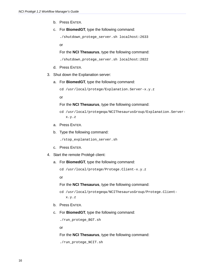- b. Press ENTER.
- c. For **BiomedGT**, type the following command:

```
./shutdown_protege_server.sh localhost:2633
```
or

For the **NCI Thesaurus**, type the following command:

./shutdown\_protege\_server.sh localhost:2822

- d. Press ENTER.
- 3. Shut down the Explanation server:
	- a. For **BiomedGT**, type the following command:

cd /usr/local/protege/Explanation.Server-x.y.z

or

#### For the **NCI Thesaurus**, type the following command:

- cd /usr/local/protegeqa/NCIThesaurusGroup/Explanation.Serverx.y.z
- a. Press ENTER.
- b. Type the following command:

./stop\_explanation\_server.sh

- c. Press ENTER.
- 4. Start the remote Protégé client:
	- a. For **BiomedGT**, type the following command:

cd /usr/local/protege/Protege.Client-x.y.z

or

For the **NCI Thesaurus**, type the following command:

```
cd /usr/local/protegeqa/NCIThesaurusGroup/Protege.Client-
x.y.z
```
- b. Press ENTER.
- c. For **BiomedGT**, type the following command:

./run\_protege\_BGT.sh

or

For the **NCI Thesaurus**, type the following command:

```
./run_protege_NCIT.sh
```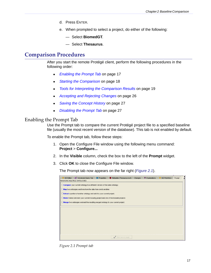- d. Press ENTER.
- e. When prompted to select a project, do either of the following:
	- Select **BiomedGT**.
	- Select **Thesaurus**.

### <span id="page-22-0"></span>**Comparison Procedures**

After you start the remote Protégé client, perform the following procedures in the following order:

- **[Enabling the Prompt Tab](#page-22-1) on page 17**
- **[Starting the Comparison](#page-23-0) on page 18**
- $\bullet$  *Tools for Interpreting the Comparison Results* on page 19
- <sup>z</sup> *[Accepting and Rejecting Changes](#page-31-0)* on page 26
- **[Saving the Concept History](#page-32-1) on page 27**
- <span id="page-22-3"></span><sup>z</sup> *[Disabling the Prompt Tab](#page-32-2)* on page 27

#### <span id="page-22-1"></span>Enabling the Prompt Tab

Use the Prompt tab to compare the current Protégé project file to a specified baseline file (usually the most recent version of the database). This tab is not enabled by default.

To enable the Prompt tab, follow these steps:

- 1. Open the Configure File window using the following menu command: **Project** > **Configure...**
- 2. In the **Visible** column, check the box to the left of the **Prompt** widget.
- 3. Click **OK** to close the Configure File window.

The Prompt tab now appears on the far right (*[Figure 2.1](#page-22-2)*).

| <b>BB</b> Advanced Guery Tab<br><b>III</b> Properties<br>NCI Editor<br>Changes<br>Explanations<br>Metadata (Thesaurus.owl)<br>NCI Workflow<br>Prompt |
|------------------------------------------------------------------------------------------------------------------------------------------------------|
| MANAGING MULTIPLE ONTOLOGIES                                                                                                                         |
| Compare your current ontology to a different version of the same ontology.                                                                           |
| Map two ontologies and transform the data from one to another.                                                                                       |
| Extract a portion of another ontology and add it to your current project.                                                                            |
| Move frames between your current including project and one of the included projects                                                                  |
| Merge two ontologies and add the resulting merged ontology to your current project.                                                                  |
|                                                                                                                                                      |
|                                                                                                                                                      |
|                                                                                                                                                      |
|                                                                                                                                                      |
|                                                                                                                                                      |
|                                                                                                                                                      |
|                                                                                                                                                      |
| Click here to begin                                                                                                                                  |

<span id="page-22-2"></span>*Figure 2.1 Prompt tab*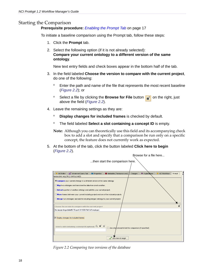#### <span id="page-23-0"></span>Starting the Comparison

#### <span id="page-23-1"></span>**Prerequisite procedure:** *[Enabling the Prompt Tab](#page-22-1)* on page 17

To initiate a baseline comparison using the Prompt tab, follow these steps:

- 1. Click the **Prompt** tab.
- 2. Select the following option (if it is not already selected): **Compare your current ontology to a different version of the same ontology**.

New text entry fields and check boxes appear in the bottom half of the tab.

- 3. In the field labeled **Choose the version to compare with the current project**, do one of the following:
	- <sup>o</sup> Enter the path and name of the file that represents the most recent baseline (*Figure 2.2*); or
	- <sup>o</sup> Select a file by clicking the **Browse for File** button  $\begin{bmatrix} -1 \end{bmatrix}$  on the right, just above the field (*Figure 2.2*).
- 4. Leave the remaining settings as they are:
	- <sup>o</sup> **Display changes for included frames** is checked by default.
	- <sup>o</sup> The field labeled **Select a slot containing a concept ID** is empty.
	- **Note:** Although you can theoretically use this field and its accompanying check box to add a slot and specify that a comparison be run only on a specific concept, the feature does not currently work as expected.
- 5. At the bottom of the tab, click the button labeled **Click here to begin** (*Figure 2.2*).



*Figure 2.2 Comparing two versions of the database*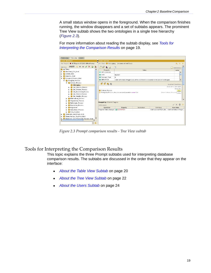A small status window opens in the foreground. When the comparison finishes running, the window disappears and a set of subtabs appears. The prominent Tree View subtab shows the two ontologies in a single tree hierarchy (*Figure 2.3*).

For more information about reading the subtab display, see *[Tools for](#page-24-0)  [Interpreting the Comparison Results](#page-24-0)* on page 19.

| Table view Tree view Users                                                         |                                                                                 |                         |             |                                                                                                         |                            |
|------------------------------------------------------------------------------------|---------------------------------------------------------------------------------|-------------------------|-------------|---------------------------------------------------------------------------------------------------------|----------------------------|
| <b>CLASS BROWSER</b>                                                               | <b>CLASS EDITOR</b>                                                             |                         |             |                                                                                                         |                            |
| For Project: BGTExport-071203-DBForPrompt                                          | For Class: Cell_Aging                                                           | (instance of owl:Class) |             |                                                                                                         | 原具                         |
| 10235 $A \Rightarrow \Leftrightarrow \sqrt{X} \geq \frac{1}{2}$<br><b>Subclass</b> | ■■●■                                                                            | $\Box$                  |             |                                                                                                         | $\frac{1}{6}$ Annotations  |
| owl:Thing                                                                          | Property                                                                        |                         | Value       |                                                                                                         | Lang                       |
| Abnormal_Cell_Kind                                                                 | ndfs:comment                                                                    |                         |             |                                                                                                         |                            |
| Activity_Kind                                                                      | $\Box$ code                                                                     | 816567                  |             |                                                                                                         |                            |
| Anatomy_Kind                                                                       | Concept_Type                                                                    | N                       |             |                                                                                                         |                            |
| Biological_Process_Kind                                                            | <b>ED DEFINITION</b>                                                            |                         |             | <def-definition>Progression of the cell from its inception to the end of its lifespan.</def-definition> |                            |
| Biological_Process<br>▼                                                            |                                                                                 |                         |             |                                                                                                         |                            |
| Cellular_Process                                                                   |                                                                                 |                         |             |                                                                                                         | <b>Asserted Conditions</b> |
| Cell_Aging                                                                         |                                                                                 |                         |             |                                                                                                         |                            |
| Cell Defense Process                                                               |                                                                                 |                         |             |                                                                                                         | NECESSARY & SUFFICIENT     |
|                                                                                    | NECESSARY<br>Cell_Division_Process<br>Cellular Process                          |                         |             |                                                                                                         | ς                          |
| Cell_Movement_Process                                                              | Biological_Process_Has_Associated_Location some Cell<br>[from Cellular_Process] |                         |             |                                                                                                         |                            |
| Cell_Transit_Process                                                               |                                                                                 |                         |             |                                                                                                         |                            |
| Cell_Viability_Process                                                             |                                                                                 |                         |             |                                                                                                         |                            |
| Multicellular_Process                                                              |                                                                                 |                         |             |                                                                                                         |                            |
| Organismal_Process                                                                 |                                                                                 |                         |             |                                                                                                         |                            |
| Pathologic_Process                                                                 | Changed by: Gilberto Fragoso                                                    |                         |             |                                                                                                         |                            |
| Population_Process                                                                 | <b>Differences</b>                                                              |                         |             |                                                                                                         | $\sqrt{\times}$ C D        |
| Requiation                                                                         | Operation                                                                       | Property                | Restriction | Old Value                                                                                               | New Value                  |
| Subcellular_Process                                                                | Property Value changed <b>E DEFINITION</b>                                      |                         |             | <def-source>NClProgre.</def-source>                                                                     |                            |
| Viral Function                                                                     |                                                                                 |                         |             |                                                                                                         |                            |
| Chemicals_and_Drugs_Kind                                                           |                                                                                 |                         |             |                                                                                                         |                            |
| Chemotherapy_Regimen_Kind                                                          |                                                                                 |                         |             |                                                                                                         |                            |
| Diagnostic and Prognostic Factors Kind                                             |                                                                                 |                         |             |                                                                                                         |                            |
| ٠                                                                                  |                                                                                 |                         |             |                                                                                                         |                            |
| $\overline{\phantom{a}}$<br>BB                                                     |                                                                                 |                         |             |                                                                                                         |                            |
|                                                                                    |                                                                                 |                         |             |                                                                                                         |                            |

<span id="page-24-1"></span>*Figure 2.3 Prompt comparison results ‐ Tree View subtab*

#### <span id="page-24-0"></span>Tools for Interpreting the Comparison Results

This topic explains the three Prompt subtabs used for interpreting database comparison results. The subtabs are discussed in the order that they appear on the interface:

- <sup>z</sup> *[About the Table View Subtab](#page-25-0)* on page 20
- <sup>z</sup> *[About the Tree View Subtab](#page-27-1)* on page 22
- <sup>z</sup> *[About the Users Subtab](#page-29-0)* on page 24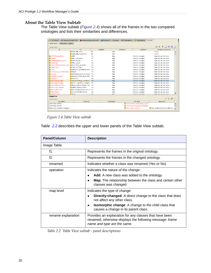#### <span id="page-25-0"></span>**About the Table View Subtab**

<span id="page-25-1"></span>The Table View subtab (*Figure 2.4*) shows all of the frames in the two compared ontologies and lists their similarities and differences.

| <b>BB</b> <sup>+</sup> Advanced Query Tab<br><b>NCI Editor</b> | Metadata (unnamed.owl)        | <b>Properties</b> | Changes     | ♦ Explanations | OWLClasses                     | Prompt                                                                       |
|----------------------------------------------------------------|-------------------------------|-------------------|-------------|----------------|--------------------------------|------------------------------------------------------------------------------|
| Table View*<br>Tree view                                       | <b>Users</b>                  |                   |             |                |                                |                                                                              |
| Image table                                                    |                               |                   |             |                |                                | $^{\circ}$ 8<br>$P_{\blacksquare}$ $t_{\blacksquare}$<br>$S \times$<br>- 151 |
| f1                                                             | f2                            | renamed           |             | operation      | map level                      | rename explanation                                                           |
|                                                                | Klebsiella_Child              | No                | Add         |                |                                | <null></null>                                                                |
|                                                                | Klebsiella Grandchild         | Nn                | Add         |                |                                | <null></null>                                                                |
| ASPSCR1_wt_Allele                                              | Mild                          | Yes               | Map         |                | Directly-changed               | frame ids are the same                                                       |
| Always                                                         | PRCC wt Allele                | Yes               | Map         |                | Directly-changed               | frame ids are the same                                                       |
| Animal Model Generic                                           | <b>HMG_Factors</b>            | Yes               | Map         |                | Directly-changed               | frame ids are the same.                                                      |
| Automatic                                                      | <b>PRCC</b> Gene              | Yes               | Map         |                | Directly-changed               | frame ids are the same.                                                      |
| Beta_Scaffold_Domain_Inh HLA-DPA1_wt_Allele                    |                               | Yes               | Map         |                | Directly-changed               | frame ids are the same                                                       |
| <b>EML4_Gene</b>                                               | Time-of-Flight                | Yes               | Map         |                | Directly-changed               | frame ids are the same.                                                      |
| <b>Eluent</b>                                                  | Enhancer of Filamentation Yes |                   | Map         |                | Directly-changed               | frame ids are the same.                                                      |
| Enhancer_of_Filamentatior Eluent                               |                               | Yes               | Map         |                | Directly-changed               | frame ids are the same                                                       |
| Ex_vivo                                                        | Hepatocyte_Nuclear_Facto Yes  |                   | Map         |                | Directly-changed               | frame ids are the same                                                       |
| GOLM1 wt Allele                                                | Protocol Information Offi Yes |                   | Map         |                | Directly-changed               | frame ids are the same.                                                      |
| Gradient                                                       | Stonin-1                      | Yes               | Map         |                | Directly-changed               | frame ids are the same.                                                      |
| HLA-Bw4_Antigen                                                | REL_Homology_Inhibitory Yes   |                   | Map         |                | Directly-changed               | frame ids are the same                                                       |
| HLA-Bw6_Antigen                                                | Helix-Loop-Helix_Inhibito Yes |                   | Map         |                | Directly-changed               | frame ids are the same.                                                      |
| HLA-DPA1 wt Allele                                             | Beta Scaffold Domain Inh Yes  |                   | Map         |                | Directly-changed               | frame ids are the same.                                                      |
| HLA-DR53_Antigen                                               | PWWP Domain Factor            | Yes               | Map         |                | Directly-changed               | frame ids are the same                                                       |
| HLA-DRB4_Gene                                                  | Peroxisome_Proliferator-A Yes |                   | Map         |                | Directly-changed               | frame ids are the same.                                                      |
| HMG Factors                                                    | Animal Model Generic          | Yes               | Map         |                | Directly-changed               | frame ids are the same.                                                      |
| <b>BULLETR Canal</b>                                           | <b>Dora</b>                   | Yar.              | Man.        |                | Directly-changed               | $\overline{\phantom{a}}$<br>frame ide are the came                           |
| Changed by:                                                    |                               |                   |             |                |                                |                                                                              |
| $\checkmark$ $\times$ 0 0<br><b>Differences</b>                |                               |                   |             |                |                                |                                                                              |
| Operation                                                      | Property                      |                   | Restriction |                | Old Value                      | New Value                                                                    |
| restriction deleted                                            |                               |                   |             |                | Gene_Product_Plays_Role_In_Bio |                                                                              |
| restriction deleted                                            |                               |                   |             |                | Cene_Product_Has_Biochemical_  |                                                                              |
| Necessary Condition changed                                    |                               |                   |             |                | MHC Class-I Protein            | Beta_Scaffold_Domain_Inhibitory.                                             |

*Figure 2.4 Table View subtab*

Table *2.2* describes the upper and lower panels of the Table View subtab.

| <b>Panel/Column</b> | <b>Description</b>                                                                                                                                |
|---------------------|---------------------------------------------------------------------------------------------------------------------------------------------------|
| Image Table         |                                                                                                                                                   |
| f <sub>1</sub>      | Represents the frames in the original ontology.                                                                                                   |
| f2                  | Represents the frames in the changed ontology.                                                                                                    |
| renamed             | Indicates whether a class was renamed (Yes or No).                                                                                                |
| operation           | Indicates the nature of the change:                                                                                                               |
|                     | <b>Add:</b> A new class was added to the ontology.                                                                                                |
|                     | Map: The relationship between the class and certain other<br>$\bullet$<br>classes was changed.                                                    |
| map level           | Indicates the type of change:                                                                                                                     |
|                     | <b>Directly-changed:</b> A direct change to the class that does<br>$\bullet$<br>not affect any other class.                                       |
|                     | <b>Isomorphic change:</b> A change to the child class that<br>$\bullet$<br>causes a change in its parent class.                                   |
| rename explanation  | Provides an explanation for any classes that have been<br>renamed; otherwise displays the following message: frame<br>name and type are the same. |

*Table 2.2 Table View subtab ‐ panel descriptions*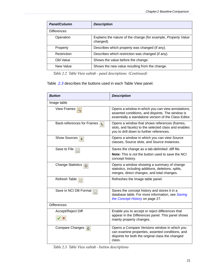| <b>Panel/Column</b> | <b>Description</b>                                                                 |
|---------------------|------------------------------------------------------------------------------------|
| <b>Differences</b>  |                                                                                    |
| Operation           | Explains the nature of the change (for example, <i>Property Value</i><br>changed). |
| Property            | Describes which property was changed (if any).                                     |
| Restriction         | Describes which restriction was changed (if any).                                  |
| Old Value           | Shows the value before the change.                                                 |
| New Value           | Shows the new value resulting from the change.                                     |

*Table 2.2 Table View subtab ‐ panel descriptions (Continued)*

Table *2.3* describes the buttons used in each Table View panel.

| <b>Button</b>                         | <b>Description</b>                                                                                                                                              |
|---------------------------------------|-----------------------------------------------------------------------------------------------------------------------------------------------------------------|
| Image table                           |                                                                                                                                                                 |
| View Frames <b>P</b>                  | Opens a window in which you can view annotations,<br>asserted conditions, and disjoints. The window is<br>essentially a standalone version of the Class Editor. |
| Back-references for Frames [<br>$t =$ | Opens a window that shows references (frames,<br>slots, and facets) to the selected class and enables<br>you to drill down to further references.               |
| <b>Show Sources</b><br>s.             | Opens a window in which you can view Source<br>classes, Source slots, and Source instances.                                                                     |
| Save to File<br>$\boxdot$             | Saves the change as a tab-delimited .diff file.                                                                                                                 |
|                                       | Note: This is not the button used to save the NCI<br>concept history.                                                                                           |
| Change Statistics<br>$\circledcirc$   | Opens a window showing a summary of change<br>statistics, including additions, deletions, splits,<br>merges, direct changes, and total changes.                 |
| Refresh Table<br>용.                   | Refreshes the Image table panel.                                                                                                                                |
| Save in NCI DB Format                 | Saves the concept history and stores it in a<br>database table. For more information, see Saving<br>the Concept History on page 27.                             |
| <b>Differences</b>                    |                                                                                                                                                                 |
| Accept/Reject Diff                    | Enable you to accept or reject differences that                                                                                                                 |
|                                       | appear in the Differences panel. This panel shows<br>mainly property changes.                                                                                   |
| Compare Changes<br>$\circled{c}$      | Opens a Compare Versions window in which you<br>can examine properties, asserted conditions, and<br>disjoints for both the original class the changed<br>class. |

*Table 2.3 Table View subtab ‐ button descriptions*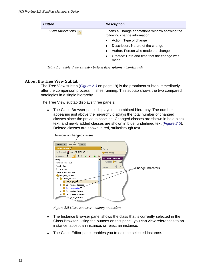| <b>Button</b>    | <b>Description</b>                                                             |
|------------------|--------------------------------------------------------------------------------|
| View Annotations | Opens a Change annotations window showing the<br>following change information: |
|                  | Action: Type of change                                                         |
|                  | Description: Nature of the change<br>$\bullet$                                 |
|                  | Author: Person who made the change                                             |
|                  | Created: Date and time that the change was<br>made                             |

<span id="page-27-2"></span>*Table 2.3 Table View subtab ‐ button descriptions (Continued)*

#### <span id="page-27-1"></span><span id="page-27-0"></span>**About the Tree View Subtab**

The Tree View subtab (*Figure 2.3* on page 19) is the prominent subtab immediately after the comparison process finishes running. This subtab shows the two compared ontologies in a single hierarchy.

The Tree View subtab displays three panels:

• The Class Browser panel displays the combined hierarchy. The number appearing just above the hierarchy displays the total number of changed classes since the previous baseline. Changed classes are shown in bold black text, and newly added classes are shown in blue, underlined text (*Figure 2.5*). Deleted classes are shown in red, strikethrough text.



*Figure 2.5 Class Browser ‐ change indicators*

- The Instance Browser panel shows the class that is currently selected in the Class Browser. Using the buttons on this panel, you can view references to an instance, accept an instance, or reject an instance.
- The Class Editor panel enables you to edit the selected instance.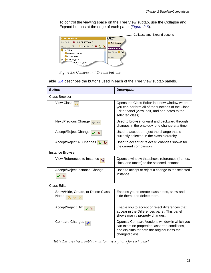To control the viewing space on the Tree View subtab, use the Collapse and Expand buttons at the edge of each panel (*Figure 2.6*).



*Figure 2.6 Collapse and Expand buttons*

Table *2.4* describes the buttons used in each of the Tree View subtab panels.

| <b>Button</b>                                      | <b>Description</b>                                                                                                                                                      |
|----------------------------------------------------|-------------------------------------------------------------------------------------------------------------------------------------------------------------------------|
| <b>Class Browser</b>                               |                                                                                                                                                                         |
| <b>View Class</b>                                  | Opens the Class Editor in a new window where<br>you can perform all of the functions of the Class<br>Editor panel (view, edit, and add notes to the<br>selected class). |
| Next/Previous Change<br>$\Rightarrow$              | Used to browse forward and backward through<br>changes in the ontology, one change at a time.                                                                           |
| Accept/Reject Change<br>×                          | Used to accept or reject the change that is<br>currently selected in the class hierarchy.                                                                               |
| Accept/Reject All Changes<br>šz<br>$\mathbf{R}$    | Used to accept or reject all changes shown for<br>the current comparison.                                                                                               |
| <b>Instance Browser</b>                            |                                                                                                                                                                         |
| View References to Instance [                      | Opens a window that shows references (frames,<br>slots, and facets) to the selected instance.                                                                           |
| Accept/Reject Instance Change                      | Used to accept or reject a change to the selected<br>instance.                                                                                                          |
| <b>Class Editor</b>                                |                                                                                                                                                                         |
| Show/Hide, Create, or Delete Class<br><b>Notes</b> | Enables you to create class notes, show and<br>hide them, and delete them.                                                                                              |
| Accept/Reject Diff                                 | Enable you to accept or reject differences that<br>appear in the Differences panel. This panel<br>shows mainly property changes.                                        |
| Compare Changes <sub>(c)</sub>                     | Opens a Compare Versions window in which you<br>can examine properties, asserted conditions,<br>and disjoints for both the original class the<br>changed class.         |

*Table 2.4 Tree View subtab ‐ button descriptions for each panel*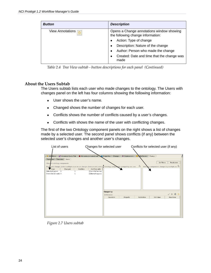| <b>Button</b>    | <b>Description</b>                                                             |
|------------------|--------------------------------------------------------------------------------|
| View Annotations | Opens a Change annotations window showing<br>the following change information: |
|                  | Action: Type of change                                                         |
|                  | Description: Nature of the change                                              |
|                  | Author: Person who made the change<br>$\bullet$                                |
|                  | Created: Date and time that the change was<br>made                             |

<span id="page-29-1"></span>*Table 2.4 Tree View subtab ‐ button descriptions for each panel (Continued)*

#### <span id="page-29-0"></span>**About the Users Subtab**

The Users subtab lists each user who made changes to the ontology. The Users with changes panel on the left has four columns showing the following information:

- User shows the user's name.
- Changed shows the number of changes for each user.
- Conflicts shows the number of conflicts caused by a user's changes.
- Conflicts with shows the name of the user with conflicting changes.

The first of the two Ontology component panels on the right shows a list of changes made by a selected user. The second panel shows conflicts (if any) between the selected user's changes and another user's changes.



*Figure 2.7 Users subtab*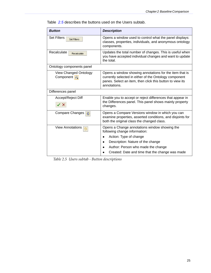| <b>Button</b>                                    | <b>Description</b>                                                                                                                                                                             |
|--------------------------------------------------|------------------------------------------------------------------------------------------------------------------------------------------------------------------------------------------------|
| <b>Set Filters</b><br>Set Filters                | Opens a window used to control what the panel displays:<br>classes, properties, individuals, and anonymous ontology<br>components.                                                             |
| Recalculate<br>Recalculate                       | Updates the total number of changes. This is useful when<br>you have accepted individual changes and want to update<br>the total.                                                              |
| Ontology components panel                        |                                                                                                                                                                                                |
| <b>View Changed Ontology</b><br><b>Component</b> | Opens a window showing annotations for the item that is<br>currently selected in either of the Ontology component<br>panes. Select an item, then click this button to view its<br>annotations. |
| Differences panel                                |                                                                                                                                                                                                |
| Accept/Reject Diff                               | Enable you to accept or reject differences that appear in<br>the Differences panel. This panel shows mainly property<br>changes.                                                               |
| Compare Changes <b>C</b>                         | Opens a Compare Versions window in which you can<br>examine properties, asserted conditions, and disjoints for<br>both the original class the changed class.                                   |
| <b>View Annotations</b>                          | Opens a Change annotations window showing the<br>following change information:<br>Action: Type of change<br>Description: Nature of the change<br>Author: Person who made the change            |
|                                                  | Created: Date and time that the change was made                                                                                                                                                |

[Table](#page-30-0) *2.5* describes the buttons used on the Users subtab.

<span id="page-30-0"></span>*Table 2.5 Users subtab ‐ Button descriptions*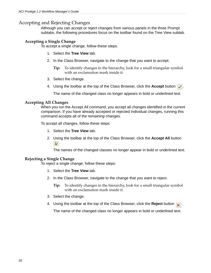#### <span id="page-31-0"></span>Accepting and Rejecting Changes

<span id="page-31-4"></span>Although you can accept or reject changes from various panels in the three Prompt subtabs, the following procedures focus on the toolbar found on the Tree View subtab.

#### <span id="page-31-1"></span>**Accepting a Single Change**

To accept a single change, follow these steps:

- 1. Select the **Tree View** tab.
- 2. In the Class Browser, navigate to the change that you want to accept.
	- **Tip:** To identify changes in the hierarchy, look for a small triangular symbol with an exclamation mark inside it.
- 3. Select the change.
- 4. Using the toolbar at the top of the Class Browser, click the **Accept** button  $\mathbf{r}$ .

The name of the changed class no longer appears in bold or underlined text.

#### <span id="page-31-2"></span>**Accepting All Changes**

When you run the Accept All command, you accept all changes identified in the current comparison. If you have already accepted or rejected individual changes, running this command accepts all of the *remaining* changes.

To accept all changes, follow these steps:

- 1. Select the **Tree View** tab.
- 2. Using the toolbar at the top of the Class Browser, click the **Accept All** button  $\mathbf{z}$ .

The names of the changed classes no longer appear in bold or underlined text.

#### <span id="page-31-3"></span>**Rejecting a Single Change**

To reject a single change, follow these steps:

- 1. Select the **Tree View** tab.
- 2. In the Class Browser, navigate to the change that you want to reject.
	- **Tip:** To identify changes in the hierarchy, look for a small triangular symbol with an exclamation mark inside it.
- 3. Select the change.
- 4. Using the toolbar at the top of the Class Browser, click the **Reject** button  $\mathbf{x}$ .

The name of the changed class no longer appears in bold or underlined text.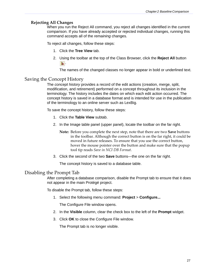#### <span id="page-32-0"></span>**Rejecting All Changes**

When you run the Reject All command, you reject all changes identified in the current comparison. If you have already accepted or rejected individual changes, running this command accepts all of the *remaining* changes.

To reject all changes, follow these steps:

- 1. Click the **Tree View** tab.
- 2. Using the toolbar at the top of the Class Browser, click the **Reject All** button  $\mathbf{x}$

<span id="page-32-3"></span>The names of the changed classes no longer appear in bold or underlined text.

#### <span id="page-32-1"></span>Saving the Concept History

The *concept history* provides a record of the edit actions (creation, merge, split, modification, and retirement) performed on a concept throughout its inclusion in the terminology. The history includes the dates on which each edit action occurred. The concept history is saved in a database format and is intended for use in the publication of the terminology to an online server such as LexBig.

To save the concept history, follow these steps:

- 1. Click the **Table View** subtab.
- 2. In the Image table panel (upper panel), locate the toolbar on the far right.
	- **Note:** Before you complete the next step, note that there are two **Save** buttons in the toolbar. Although the correct button is on the far right, it could be moved in future releases. To ensure that you use the correct button, hover the mouse pointer over the button and make sure that the popup tool tip reads *Save in NCI DB Format*.
- 3. Click the second of the two **Save** buttons—the one on the far right.

The concept history is saved to a database table.

#### <span id="page-32-2"></span>Disabling the Prompt Tab

<span id="page-32-4"></span>After completing a database comparison, disable the Prompt tab to ensure that it does not appear in the main Protégé project.

To disable the Prompt tab, follow these steps:

1. Select the following menu command: **Project** > **Configure...**

The Configure File window opens.

- 2. In the **Visible** column, clear the check box to the left of the **Prompt** widget.
- 3. Click **OK** to close the Configure File window.

The Prompt tab is no longer visible.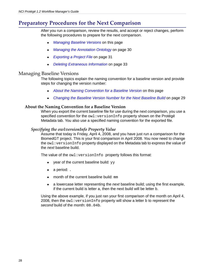## <span id="page-33-0"></span>**Preparatory Procedures for the Next Comparison**

After you run a comparison, review the results, and accept or reject changes, perform the following procedures to prepare for the next comparison.

- **[Managing Baseline Versions](#page-33-1) on this page**
- <sup>z</sup> *[Managing the Annotation Ontology](#page-35-0)* on page 30
- <sup>z</sup> *[Exporting a Project File](#page-36-0)* on page 31
- <sup>z</sup> *[Deleting Extraneous Information](#page-38-0)* on page 33

#### <span id="page-33-1"></span>Managing Baseline Versions

The following topics explain the naming convention for a baseline version and provide steps for changing the version number:

- **[About the Naming Convention for a Baseline Version](#page-33-2) on this page**
- <span id="page-33-4"></span>• [Changing the Baseline Version Number for the Next Baseline Build](#page-34-0) on page 29

#### <span id="page-33-2"></span>**About the Naming Convention for a Baseline Version**

When you export the current baseline file for use during the next comparison, you use a specified convention for the owl: versionInfo property shown on the Protégé Metadata tab. You also use a specified naming convention for the exported file.

#### <span id="page-33-3"></span>*Specifying the owl:versionInfo Property Value*

Assume that today is Friday, April 4, 2008, and you have just run a comparison for the BiomedGT project. This is your first comparison in April 2008. You now need to change the  $ov1:versionInfo$  property displayed on the Metadata tab to express the value of the *next* baseline build.

The value of the owl: versionInfo property follows this format:

- $\bullet$  year of the current baseline build:  $yy$
- $\bullet$  a period: .
- $\bullet$  month of the current baseline build: mm
- <sup>z</sup> a lowercase letter representing the *next* baseline build; using the first example, if the current build is letter a, then the next build will be letter b.

Using the above example, if you just ran your first comparison of the month on April 4, 2008, then the  $ovl:versionInfo$  property will show a letter b to represent the *second* build of the month: 08.04b.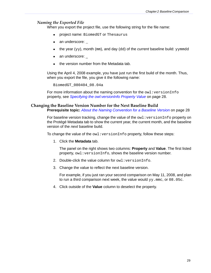#### *Naming the Exported File*

When you export the project file, use the following string for the file name:

- project name: BiomedGT or Thesaurus
- $\bullet$  an underscore:  $\overline{\phantom{a}}$
- the year  $(yy)$ , month (mm), and day (dd) of the *current* baseline build:  $yymmodd$
- an underscore:
- $\bullet$  the version number from the Metadata tab.

Using the April 4, 2008 example, you have just run the first build of the month. Thus, when you export the file, you give it the following name:

<span id="page-34-1"></span>BiomedGT\_080404\_08.04a

For more information about the naming convention for the owl: versionInfo property, see *[Specifying the owl:versionInfo Property Value](#page-33-3)* on page 28.

#### <span id="page-34-0"></span>**Changing the Baseline Version Number for the Next Baseline Build**

**Prerequisite topic:** *[About the Naming Convention for a Baseline Version](#page-33-2)* on page 28

For baseline version tracking, change the value of the owl: versionInfo property on the Protégé Metadata tab to show the current year, the current month, and the baseline version of the *next* baseline build.

To change the value of the owl: versionInfo property, follow these steps:

1. Click the **Metadata** tab.

The panel on the right shows two columns: **Property** and **Value**. The first listed property, owl: versionInfo, shows the baseline version number.

- 2. Double-click the value column for owl: versionInfo.
- 3. Change the value to reflect the next baseline version.

For example, if you just ran your second comparison on May 11, 2008, and plan to run a third comparison next week, the value would  $yy$ . mmc, or 08.05c.

4. Click outside of the **Value** column to deselect the property.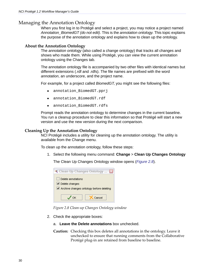#### <span id="page-35-0"></span>Managing the Annotation Ontology

When you first log in to Protégé and select a project, you may notice a project named *Annotation\_BiomedGT (do not edit)*. This is the *annotation ontology*. This topic explains the purpose of the annotation ontology and explains how to clean up the ontology.

#### <span id="page-35-1"></span>**About the Annotation Ontology**

<span id="page-35-3"></span>The *annotation ontology* (also called a change ontology) that tracks all changes and shows who made them. While using Protégé, you can view the current annotation ontology using the Changes tab.

The annotation ontology file is accompanied by two other files with identical names but different extensions (.rdf and .rdfs). The file names are prefixed with the word *annotation*, an underscore, and the project name.

For example, for a project called *BiomedGT*, you might see the following files:

- annotation\_BiomedGT.pprj
- annotation BiomedGT.rdf
- annotation\_BiomedGT.rdfs

Prompt reads the annotation ontology to determine changes in the current baseline. You run a cleanup procedure to clear this information so that Protégé will start a new version and use the new version during the next comparison.

#### <span id="page-35-2"></span>**Cleaning Up the Annotation Ontology**

NCI Protégé includes a utility for cleaning up the annotation ontology. The utility is available from the Change menu.

To clean up the annotation ontology, follow these steps:

1. Select the following menu command: **Change** > **Clean Up Changes Ontology**

The Clean Up Changes Ontology window opens (*Figure 2.8*).



*Figure 2.8 Clean‐up Changes Ontology window*

- 2. Check the appropriate boxes:
	- a. **Leave the Delete annotations** box unchecked.
	- **Caution:** Checking this box deletes all annotations in the ontology. Leave it unchecked to ensure that running comments from the Collaborative Protégé plug-in are retained from baseline to baseline.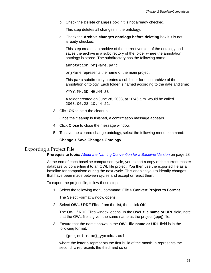b. Check the **Delete changes** box if it is not already checked.

This step deletes all changes in the ontology.

c. Check the **Archive changes ontology before deleting** box if it is not already checked.

This step creates an archive of the current version of the ontology and saves the archive in a subdirectory of the folder where the annotation ontology is stored. The subdirectory has the following name:

annotation\_prjName.parc

prjName represents the name of the main project.

This parc subdirectory creates a subfolder for each archive of the annotation ontology. Each folder is named according to the date and time:

YYYY.MM.DD\_HH.MM.SS

A folder created on June 28, 2008, at 10:45 a.m. would be called 2008.06.28\_10.44.22.

3. Click **OK** to start the cleanup.

Once the cleanup is finished, a confirmation message appears.

- 4. Click **Close** to close the message window.
- 5. To save the cleared change ontology, select the following menu command:

#### **Change** > **Save Changes Ontology**

#### <span id="page-36-0"></span>Exporting a Project File

<span id="page-36-1"></span>**Prerequisite topic:** *[About the Naming Convention for a Baseline Version](#page-33-2)* on page 28

At the end of each baseline comparison cycle, you export a copy of the current master database by converting it to an OWL file project. You then use the exported file as a baseline for comparison during the next cycle. This enables you to identify changes that have been made between cycles and accept or reject them.

To export the project file, follow these steps:

1. Select the following menu command: **File** > **Convert Project to Format**

The Select Format window opens.

2. Select **OWL / RDF Files** from the list, then click **OK**.

The OWL / RDF Files window opens. In the **OWL file name or URL** field, note that the OWL file is given the same name as the project (.pprj) file.

3. Ensure that the name shown in the **OWL file name or URL** field is in the following format:

{project name}\_yymmdda.owl

where the letter a represents the first build of the month, b represents the second, c represents the third, and so on.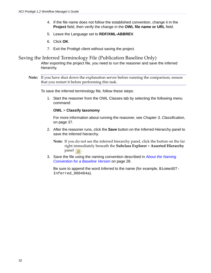- 4. If the file name does not follow the established convention, change it in the **Project** field, then verify the change in the **OWL file name or URL** field.
- 5. Leave the Language set to **RDF/XML-ABBREV**.
- 6. Click **OK**.
- 7. Exit the Protégé client without saving the project.

#### <span id="page-37-0"></span>Saving the Inferred Terminology File (Publication Baseline Only)

After exporting the project file, you need to run the reasoner and save the inferred hierarchy.

**Note:** If you have shut down the explanation server before running the comparison, ensure that you restart it before performing this task.

To save the inferred terminology file, follow these steps:

1. Start the reasoner from the OWL Classes tab by selecting the following menu command:

#### **OWL** > **Classify taxonomy**

For more information about running the reasoner, see *[Chapter 3, Classification,](#page-42-5)* [on page 37.](#page-42-5)

- 2. After the reasoner runs, click the **Save** button on the Inferred Hierarchy panel to save the inferred hierarchy.
	- **Note:** If you do not see the inferred hierarchy panel, click the button on the far right immediately beneath the **Subclass Explorer** > **Asserted Hierarchy** panel **Q**.
- 3. Save the file using the naming convention described in *[About the Naming](#page-33-2)  [Convention for a Baseline Version](#page-33-2)* on page 28.

Be sure to append the word *Inferred* to the name (for example, BiomedGT-Inferred\_080404a).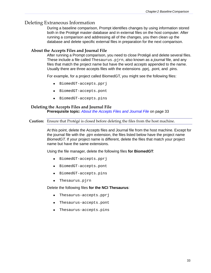#### <span id="page-38-0"></span>Deleting Extraneous Information

<span id="page-38-4"></span>During a baseline comparison, Prompt identifies changes by using information stored both in the Protégé master database and in external files on the host computer. After running a comparison and addressing all of the changes, you then clean up the database and delete specific external files in preparation for the next comparison.

#### <span id="page-38-1"></span>**About the Accepts Files and Journal File**

<span id="page-38-3"></span>After running a Prompt comparison, you need to close Protégé and delete several files. These include a file called Thesaurus.pjrn, also known as a *journal* file, and any files that match the project name but have the word *accepts* appended to the name. Usually there are three accepts files with the extensions .pprj, .pont, and .pins.

For example, for a project called BiomedGT, you might see the following files:

- BiomedGT-accepts.pprj
- BiomedGT-accepts.pont
- BiomedGT-accepts.pins

#### <span id="page-38-2"></span>**Deleting the Accepts Files and Journal File Prerequisite topic:** *[About the Accepts Files and Journal File](#page-38-1)* on page 33

**Caution:** Ensure that Protégé is closed before deleting the files from the host machine.

At this point, delete the Accepts files and Journal file from the host machine. Except for the journal file with the .pjrn extension, the files listed below have the project name *BiomedGT*. If your project name is different, delete the files that match your project name but have the same extensions.

Using the file manager, delete the following files **for BiomedGT**:

- BiomedGT-accepts.pprj
- BiomedGT-accepts.pont
- BiomedGT-accepts.pins
- $\bullet$  Thesaurus.pjrn

Delete the following files **for the NCI Thesaurus**:

- Thesaurus-accepts.pprj
- Thesaurus-accepts.pont
- Thesaurus-accepts.pins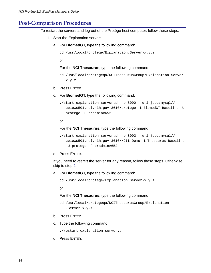## <span id="page-39-0"></span>**Post‐Comparison Procedures**

<span id="page-39-1"></span>To restart the servers and log out of the Protégé host computer, follow these steps:

- 1. Start the Explanation server:
	- a. For **BiomedGT**, type the following command:

```
cd /usr/local/protege/Explanation.Server-x.y.z
```
or

#### For the **NCI Thesaurus**, type the following command:

- cd /usr/local/protegeqa/NCIThesaurusGroup/Explanation.Serverx.y.z
- b. Press ENTER.
- c. For **BiomedGT**, type the following command:

```
./start_explanation_server.sh -p 8090 --url jdbc:mysql//
cbiows501.nci.nih.gov:3610/protege -t BiomedGT_Baseline -U 
protege -P pradmin#652
```
#### or

For the **NCI Thesaurus**, type the following command:

```
./start_explanation_server.sh -p 8092 --url jdbc:mysql//
cbiows501.nci.nih.gov:3610/NCIt_Demo -t Thesaurus_Baseline 
-U protege -P pradmin#652
```
#### d. Press ENTER.

If you need to *restart* the server for any reason, follow these steps. Otherwise, skip to step [2:](#page-40-0)

a. For **BiomedGT**, type the following command:

```
cd /usr/local/protege/Explanation.Server-x.y.z
```
or

#### For the **NCI Thesaurus**, type the following command:

```
cd /usr/local/protegeqa/NCIThesaurusGroup/Explanation
 .Server-x.y.z
```
- b. Press ENTER.
- c. Type the following command:

./restart\_explanation\_server.sh

d. Press ENTER.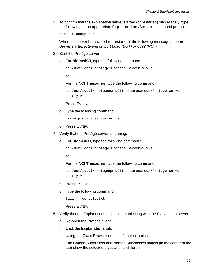<span id="page-40-0"></span>2. To confirm that the explanation server started (or restarted) successfully, type the following at the appropriate Explanation.Server command prompt:

tail -f nohup.out

When the server has started (or restarted), the following message appears: *Server started listening on port 8090 (BGT) or 8092 (NCIt)*

- 3. Start the Protégé server:
	- a. For **BiomedGT**, type the following command:

```
cd /usr/local/protege/Protege.Server-x.y.z
```
or

For the **NCI Thesaurus**, type the following command:

```
cd /usr/local/protegeqa/NCIThesaurusGroup/Protege.Server-
 x.y.z
```
- b. Press ENTER.
- c. Type the following command:

./run\_protege\_server\_nci.sh

- d. Press ENTER.
- 4. Verify that the Protégé server is running:
	- e. For **BiomedGT**, type the following command:

```
cd /usr/local/protege/Protege.Server-x.y.z
```
or

```
For the NCI Thesaurus, type the following command:
```

```
cd /usr/local/protegeqa/NCIThesaurusGroup/Protege.Server-
 x.y.z
```
- f. Press ENTER.
- g. Type the following command:

```
tail -f console.txt
```
- h. Press ENTER.
- 5. Verify that the Explanations tab is communicating with the Explanation server:
	- a. Re-open the Protégé client.
	- b. Click the **Explanations** tab.
	- c. Using the Class Browser on the left, select a class.

The Named Superclass and Named Subclasses panels (in the center of the tab) show the selected class and its children.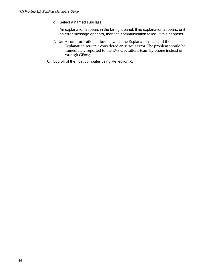d. Select a named subclass.

An explanation appears in the far right panel. If no explanation appears, or if an error message appears, then the communication failed. If this happens

- **Note:** A communication failure between the Explanations tab and the Explanation server is considered an serious error. The problem should be immediately reported to the EVS Operations team by phone instead of through GForge.
- 6. Log off of the host computer using Reflection X.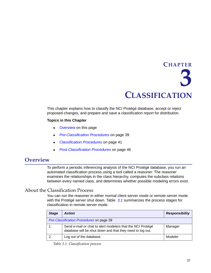# <span id="page-42-5"></span><span id="page-42-4"></span>**CHAPTER 3 CLASSIFICATION**

<span id="page-42-1"></span><span id="page-42-0"></span>This chapter explains how to classify the NCI Protégé database, accept or reject proposed changes, and prepare and save a classification report for distribution.

#### **Topics in this Chapter**

- [Overview](#page-42-2) on this page
- <sup>z</sup> *[Pre-Classification Procedures](#page-44-0)* on page 39
- <sup>z</sup> *[Classification Procedures](#page-46-0)* on page 41
- <sup>z</sup> *[Post-Classification Procedures](#page-51-1)* on page 46

## <span id="page-42-6"></span><span id="page-42-2"></span>**Overview**

To perform a periodic inferencing analysis of the NCI Protégé database, you run an automated classification process using a tool called a *reasoner*. The reasoner examines the relationships in the class hierarchy, computes the subclass relations between every named class, and determines whether possible modeling errors exist.

#### <span id="page-42-3"></span>About the Classification Process

You can run the reasoner in either normal client server mode or remote server mode with the Protégé server shut down. Table *3.1* summarizes the process stages for classification in remote server mode.

| <b>Stage</b> | <b>Action</b>                                                                                                           | <b>Responsibility</b> |  |
|--------------|-------------------------------------------------------------------------------------------------------------------------|-----------------------|--|
|              | Pre-Classification Procedures on page 39                                                                                |                       |  |
|              | Send e-mail or chat to alert modelers that the NCI Protégé<br>database will be shut down and that they need to log out. | Manager               |  |
| 2.           | Log out of the database.                                                                                                | Modeler               |  |

*Table 3.1 Classification process*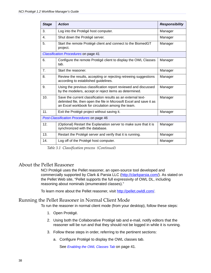| <b>Stage</b>   | <b>Action</b>                                                                                                                                                                             | <b>Responsibility</b> |
|----------------|-------------------------------------------------------------------------------------------------------------------------------------------------------------------------------------------|-----------------------|
| 3.             | Log into the Protégé host computer.                                                                                                                                                       | Manager               |
| $\mathbf{4}$ . | Shut down the Protégé server.                                                                                                                                                             | Manager               |
| 5.             | Start the remote Protégé client and connect to the BiomedGT<br>project.                                                                                                                   | Manager               |
|                | <b>Classification Procedures on page 41</b>                                                                                                                                               |                       |
| 6.             | Configure the remote Protégé client to display the OWL Classes<br>tab.                                                                                                                    | Manager               |
| 7.             | Start the reasoner.                                                                                                                                                                       | Manager               |
| 8.             | Review the results, accepting or rejecting retreeing suggestions<br>according to established guidelines.                                                                                  | Manager               |
| 9.             | Using the previous classification report reviewed and discussed<br>by the modelers, accept or reject items as determined.                                                                 | Manager               |
| 10.            | Save the current classification results as an external text-<br>delimited file, then open the file in Microsoft Excel and save it as<br>an Excel workbook for circulation among the team. | Manager               |
| 11.            | Exit the Protégé project without saving it.                                                                                                                                               | Manager               |
|                | Post-Classification Procedures on page 46                                                                                                                                                 |                       |
| 12.            | (Optional) Restart the Explanation server to make sure that it is<br>synchronized with the database.                                                                                      | Manager               |
| 13.            | Restart the Protégé server and verify that it is running.                                                                                                                                 | Manager               |
| 14.            | Log off of the Protégé host computer.                                                                                                                                                     | Manager               |

<span id="page-43-3"></span>*Table 3.1 Classification process (Continued)*

#### <span id="page-43-0"></span>About the Pellet Reasoner

<span id="page-43-2"></span>NCI Protégé uses the Pellet reasoner, an open-source tool developed and commercially supported by Clark & Parsia LLC ([http://clarkparsia.com/\)](http://clarkparsia.com/). As stated on the Pellet Web site, "Pellet supports the full expressivity of OWL DL, including reasoning about nominals (enumerated classes)."

To learn more about the Pellet reasoner, visit [http://pellet.owldl.com/.](http://pellet.owldl.com/)

#### <span id="page-43-1"></span>Running the Pellet Reasoner in Normal Client Mode

To run the reasoner in normal client mode (from your desktop), follow these steps:

- 1. Open Protégé.
- 2. Using both the Collaborative Protégé tab and e-mail, notify editors that the reasoner will be run and that they should not be logged in while it is running.
- 3. Follow these steps in order, referring to the pertinent sections:
	- a. Configure Protégé to display the OWL classes tab.

See *[Enabling the OWL Classes Tab](#page-46-1)* on page 41.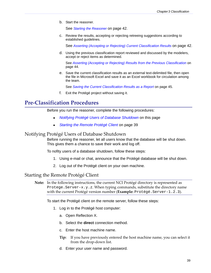b. Start the reasoner.

See *[Starting the Reasoner](#page-47-0)* on page 42.

c. Review the results, accepting or rejecting retreeing suggestions according to established guidelines.

See *[Asserting \(Accepting or Rejecting\) Current Classification Results](#page-47-1)* on page 42.

d. Using the previous classification report reviewed and discussed by the modelers, accept or reject items as determined.

See *[Asserting \(Accepting or Rejecting\) Results from the Previous Classification](#page-49-1)* on [page 44.](#page-49-1)

e. Save the current classification results as an external text-delimited file, then open the file in Microsoft Excel and save it as an Excel workbook for circulation among the team.

See *[Saving the Current Classification Results as a Report](#page-50-0)* on page 45.

f. Exit the Protégé project without saving it.

## <span id="page-44-0"></span>**Pre‐Classification Procedures**

Before you run the reasoner, complete the following procedures:

- <sup>z</sup> *[Notifying Protégé Users of Database Shutdown](#page-44-1)* on this page
- <span id="page-44-3"></span>[Starting the Remote Protégé Client](#page-44-2) on page 39

#### <span id="page-44-1"></span>Notifying Protégé Users of Database Shutdown

Before running the reasoner, let all users know that the database will be shut down. This gives them a chance to save their work and log off.

To nofity users of a database shutdown, follow these steps:

- 1. Using e-mail or chat, announce that the Protégé database will be shut down.
- <span id="page-44-4"></span>2. Log out of the Protégé client on your own machine.

#### <span id="page-44-2"></span>Starting the Remote Protégé Client

**Note:** In the following instructions, the current NCI Protégé directory is represented as Protege.Server-x.y.z. When typing commands, substitute the directory name with the current Protégé version number (**Example:** Protégé.Server-1.2.3).

To start the Protégé client on the remote server, follow these steps:

- 1. Log in to the Protégé host computer:
	- a. Open Reflection X.
	- b. Select the **direct** connection method.
	- c. Enter the host machine name.
	- **Tip:** If you have previously entered the host machine name, you can select it from the drop‐down list.
	- d. Enter your user name and password.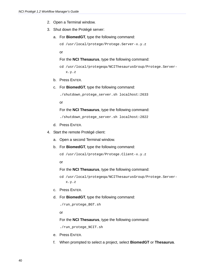- 2. Open a Terminal window.
- 3. Shut down the Protégé server:
	- a. For **BiomedGT**, type the following command:

```
cd /usr/local/protege/Protege.Server-x.y.z
```
or

#### For the **NCI Thesaurus**, type the following command:

```
cd /usr/local/protegeqa/NCIThesaurusGroup/Protege.Server-
x.y.z
```
- b. Press ENTER.
- c. For **BiomedGT**, type the following command:

./shutdown\_protege\_server.sh localhost:2633

or

For the **NCI Thesaurus**, type the following command:

./shutdown\_protege\_server.sh localhost:2822

- d. Press ENTER.
- 4. Start the remote Protégé client:
	- a. Open a second Terminal window.
	- b. For **BiomedGT**, type the following command:

```
cd /usr/local/protege/Protege.Client-x.y.z
```
or

#### For the **NCI Thesaurus**, type the following command:

```
cd /usr/local/protegeqa/NCIThesaurusGroup/Protege.Server-
 x.y.z
```
- c. Press ENTER.
- d. For **BiomedGT**, type the following command:

```
./run_protege_BGT.sh
```
or

For the **NCI Thesaurus**, type the following command:

./run\_protege\_NCIT.sh

- e. Press ENTER.
- f. When prompted to select a project, select **BiomedGT** or **Thesaurus**.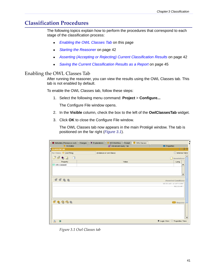## <span id="page-46-0"></span>**Classification Procedures**

The following topics explain how to perform the procedures that correspond to each stage of the classification process:

- **[Enabling the OWL Classes Tab](#page-46-1) on this page**
- *Starting the Reasoner* on page 42
- **[Asserting \(Accepting or Rejecting\) Current Classification Results](#page-47-1) on page 42**
- <span id="page-46-3"></span>• [Saving the Current Classification Results as a Report](#page-50-0) on page 45

#### <span id="page-46-1"></span>Enabling the OWL Classes Tab

After running the reasoner, you can view the results using the OWL Classes tab. This tab is not enabled by default.

To enable the OWL Classes tab, follow these steps:

1. Select the following menu command: **Project** > **Configure...**

The Configure File window opens.

- 2. In the **Visible** column, check the box to the left of the **OwlClassesTab** widget.
- 3. Click **OK** to close the Configure File window.

The OWL Classes tab now appears in the main Protégé window. The tab is positioned on the far right (*[Figure 3.1](#page-46-2)*).

| Metadata (Thesaurus.owl)<br>Changes | <b>OVALClasses</b><br>♦ Explanations<br>NCI Workflow<br>Prompt |                                |
|-------------------------------------|----------------------------------------------------------------|--------------------------------|
| NCI Editor                          | 86 <sup>+</sup> Advanced Query Tab                             | <b>Properties</b>              |
| <b>CLASS EDITOR</b>                 |                                                                | $+ - F T$                      |
| owl:Thing<br>For Class:             | (instance of owl:Class)                                        | □ Inferred View                |
| ₿<br>5 电因<br>$\Box$                 |                                                                | Annotations                    |
| Property                            | Value                                                          | Lang                           |
| $\blacksquare$ rdfs:comment         |                                                                | $\overline{\phantom{a}}$       |
|                                     |                                                                | <b>Asserted Conditions</b>     |
|                                     |                                                                | NECESSARY & SUFFICIENT         |
|                                     |                                                                | NECESSARY                      |
| 0.6699                              |                                                                | <b>Disjoints</b>               |
|                                     |                                                                | $\overline{\phantom{a}}$       |
| 豪<br>∾                              |                                                                | ● Logic View ○ Properties View |

<span id="page-46-2"></span>*Figure 3.1 Owl Classes tab*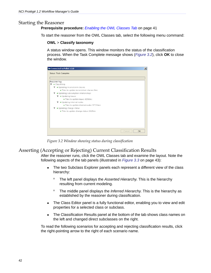#### <span id="page-47-0"></span>Starting the Reasoner

#### <span id="page-47-4"></span>**Prerequisite procedure:** *[Enabling the OWL Classes Tab](#page-46-1)* on page 41

To start the reasoner from the OWL Classes tab, select the following menu command:

#### **OWL** > **Classify taxonomy**

A status window opens. This window monitors the status of the classification process. When the Task Complete message shows (*[Figure 3.2](#page-47-2)*), click **OK** to close the window.

| Status: Task Complete                                                                                                                                                                                                                                                                                                                                      |  |
|------------------------------------------------------------------------------------------------------------------------------------------------------------------------------------------------------------------------------------------------------------------------------------------------------------------------------------------------------------|--|
| Reasoner log<br>· Classifying<br>▼<br>· Updating inconsistent classes<br>. Time to update inconsistent classes 8ms<br>· Updating subsumption relationships<br>· Updating leaves<br>· Time to update leaves 6286ms<br>· Updating internal nodes<br>Time to update internal nodes 37726ms<br>· Updating change status<br>Time to update change status 2465ms |  |
|                                                                                                                                                                                                                                                                                                                                                            |  |

<span id="page-47-3"></span><span id="page-47-2"></span>*Figure 3.2 Window showing status during classification*

#### <span id="page-47-1"></span>Asserting (Accepting or Rejecting) Current Classification Results

After the reasoner runs, click the OWL Classes tab and examine the layout. Note the following aspects of the tab panels (illustrated in *Figure 3.3* [on page 43\)](#page-48-1):

- The two Subclass Explorer panels each represent a different view of the class hierarchy:
	- <sup>o</sup> The left panel displays the *Asserted Hierarchy*. This is the hierarchy resulting from current modeling.
	- <sup>o</sup> The middle panel displays the *Inferred Hierarchy*. This is the hierarchy as established by the reasoner during classification.
- The Class Editor panel is a fully functional editor, enabling you to view and edit properties for a selected class or subclass.
- The Classification Results panel at the bottom of the tab shows class names on the left and changed direct subclasses on the right.

To read the following scenarios for accepting and rejecting classification results, click the right-pointing arrow to the right of each scenario name.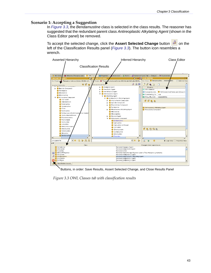#### <span id="page-48-0"></span>**Scenario 1: Accepting a Suggestion**

In *[Figure 3.3](#page-48-1)*, the *Bendamustine* class is selected in the class results. The reasoner has suggested that the redundant parent class *Antireoplastic Alkylating Agent* (shown in the Class Editor panel) be removed.

To accept the selected change, click the Assert Selected Change button **on** the left of the Classification Results panel (*[Figure 3.3](#page-48-1)*). The button icon resembles a wrench.



Buttons, in order: Save Results, Assert Selected Change, and Close Results Panel

<span id="page-48-1"></span>*Figure 3.3 OWL Classes tab with classification results*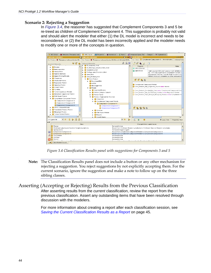#### <span id="page-49-0"></span>**Scenario 2: Rejecting a Suggestion**

In *[Figure 3.4](#page-49-2)*, the reasoner has suggested that Complement Components 3 and 5 be re-treed as children of Complement Component 4. This suggestion is probably not valid and should alert the modeler that either (1) the DL model is incorrect and needs to be reconsidered, or (2) the DL model has been incorrectly applied and the modeler needs to modify one or more of the concepts in question.



<span id="page-49-3"></span><span id="page-49-2"></span>*Figure 3.4 Classification Results panel with suggestions for Components 3 and 5*

**Note:** The Classification Results panel does not include a button or any other mechanism for rejecting a suggestion. You reject suggestions by not explicitly accepting them. For the current scenario, ignore the suggestion and make a note to follow up on the three sibling classes.

<span id="page-49-1"></span>Asserting (Accepting or Rejecting) Results from the Previous Classification After asserting results from the *current* classification, review the report from the previous classification. Assert any outstanding items that have been resolved through discussion with the modelers.

> For more information about creating a report after each classification session, see **[Saving the Current Classification Results as a Report](#page-50-0) on page 45.**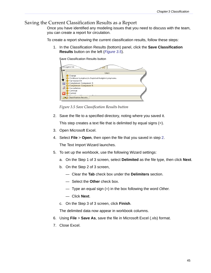#### <span id="page-50-0"></span>Saving the Current Classification Results as a Report

Once you have identified any modeling issues that you need to discuss with the team, you can create a report for circulation.

To create a report showing the current classification results, follow these steps:

1. In the Classification Results (bottom) panel, click the **Save Classification Results** button on the left (*[Figure 3.5](#page-50-1)*).

Save Classification Results buttononcogene tim Class Change Childhood Lymphocyte Depleted Hodgkin Lymphoma Ciproquazone  $\blacksquare$ Complement Component 3 Complement Component 5 B Consultation Continue Control CO Classification Results

*Figure 3.5 Save Classification Results button*

<span id="page-50-2"></span><span id="page-50-1"></span>2. Save the file to a specified directory, noting where you saved it.

This step creates a text file that is delimited by equal signs (=).

- 3. Open Microsoft Excel.
- 4. Select **File** > **Open**, then open the file that you saved in step [2](#page-50-2). The Text Import Wizard launches.
- 5. To set up the workbook, use the following Wizard settings:
	- a. On the Step 1 of 3 screen, select **Delimited** as the file type, then click **Next**.
	- b. On the Step 2 of 3 screen,
		- Clear the **Tab** check box under the **Delimiters** section.
		- Select the **Other** check box.
		- Type an equal sign (=) in the box following the word *Other*.
		- Click **Next**.
	- c. On the Step 3 of 3 screen, click **Finish**.

The delimited data now appear in workbook columns.

- 6. Using **File** > **Save As**, save the file in Microsoft Excel (.xls) format.
- 7. Close Excel.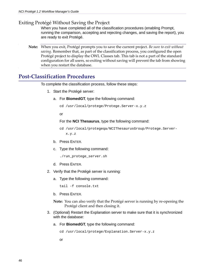#### <span id="page-51-0"></span>Exiting Protégé Without Saving the Project

When you have completed all of the classification procedures (enabling Prompt, running the comparison, accepting and rejecting changes, and saving the report), you are ready to exit Protégé.

**Note:** When you exit, Protégé prompts you to save the current project. *Be sure to exit without saving.* Remember that, as part of the classification process, you configured the open Protégé project to display the OWL Classes tab. This tab is not a part of the standard configuration for all users, so exiting without saving will prevent the tab from showing when you restart the database.

### <span id="page-51-1"></span>**Post‐Classification Procedures**

To complete the classification process, follow these steps:

- 1. Start the Protégé server:
	- a. For **BiomedGT**, type the following command:

```
cd /usr/local/protege/Protege.Server-x.y.z
```
or

For the **NCI Thesaurus**, type the following command:

```
cd /usr/local/protegeqa/NCIThesaurusGroup/Protege.Server-
x.y.z
```
- b. Press ENTER.
- c. Type the following command:

```
./run_protege_server.sh
```
- d. Press ENTER.
- 2. Verify that the Protégé server is running:
	- a. Type the following command:

tail -f console.txt

- b. Press ENTER.
- **Note:** You can also verify that the Protégé server is running by re-opening the Protégé client and then closing it.
- 3. (Optional) Restart the Explanation server to make sure that it is synchronized with the database:
	- a. For **BiomedGT**, type the following command:

cd /usr/local/protege/Explanation.Server-x.y.z

or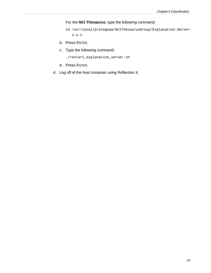#### For the **NCI Thesaurus**, type the following command:

- cd /usr/local/protegeqa/NCIThesaurusGroup/Explanation.Serverx.y.z
- b. Press ENTER.
- c. Type the following command:

./restart\_explanation\_server.sh

- d. Press ENTER.
- 4. Log off of the host computer using Reflection X.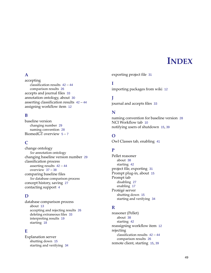## **INDEX**

#### <span id="page-54-0"></span>**A**

accepting classification results [42](#page-47-3) – [44](#page-49-3) comparison results [26](#page-31-4) accepts and journal files [33](#page-38-3) annotation ontology, about [30](#page-35-3) asserting classification results [42](#page-47-3) – [44](#page-49-3) assigning workflow item [12](#page-17-3)

### **B**

baseline version changing number [29](#page-34-1) naming convention [28](#page-33-4) BiomedGT overview [5](#page-10-6) – [7](#page-12-0)

## **C**

change ontology *[See](#page-35-3)* annotation ontology changing baseline version number [29](#page-34-1) classification process asserting results [42](#page-47-3) – [44](#page-49-3) overview [37](#page-42-6) – [38](#page-43-2) comparing baseline files *[See](#page-18-5)* database comparison process concept history, saving [27](#page-32-3) contacting support [4](#page-9-1)

#### **D**

database comparison process about [13](#page-18-5) accepting and rejecting results [26](#page-31-4) deleting extraneous files [33](#page-38-4) interpreting results [19](#page-24-1) starting [18](#page-23-1)

#### **E**

Explanation server shutting down [15](#page-20-4) starting and verifying [34](#page-39-1) exporting project file [31](#page-36-1)

#### **I**

importing packages from wiki [12](#page-17-4)

**J** journal and accepts files [33](#page-38-3)

#### **N**

naming convention for baseline version [28](#page-33-4) NCI Workflow tab [10](#page-15-3) notifying users of shutdown [15](#page-20-5), [39](#page-44-3)

#### **O**

Owl Classes tab, enabling [41](#page-46-3)

#### **P**

Pellet reasoner about [38](#page-43-3) starting [42](#page-47-4) project file, exporting [31](#page-36-1) Prompt plug‐in, about [15](#page-20-6) Prompt tab disabling [27](#page-32-4) enabling [17](#page-22-3) Protégé server shutting down [15](#page-20-4) starting and verifying [34](#page-39-1)

#### **R**

reasoner (Pellet) about [38](#page-43-3) starting [42](#page-47-4) reassigning workflow item [12](#page-17-3) rejecting classification results [42](#page-47-3) – [44](#page-49-3) comparison results [26](#page-31-4) remote client, starting [15](#page-20-7), [39](#page-44-4)